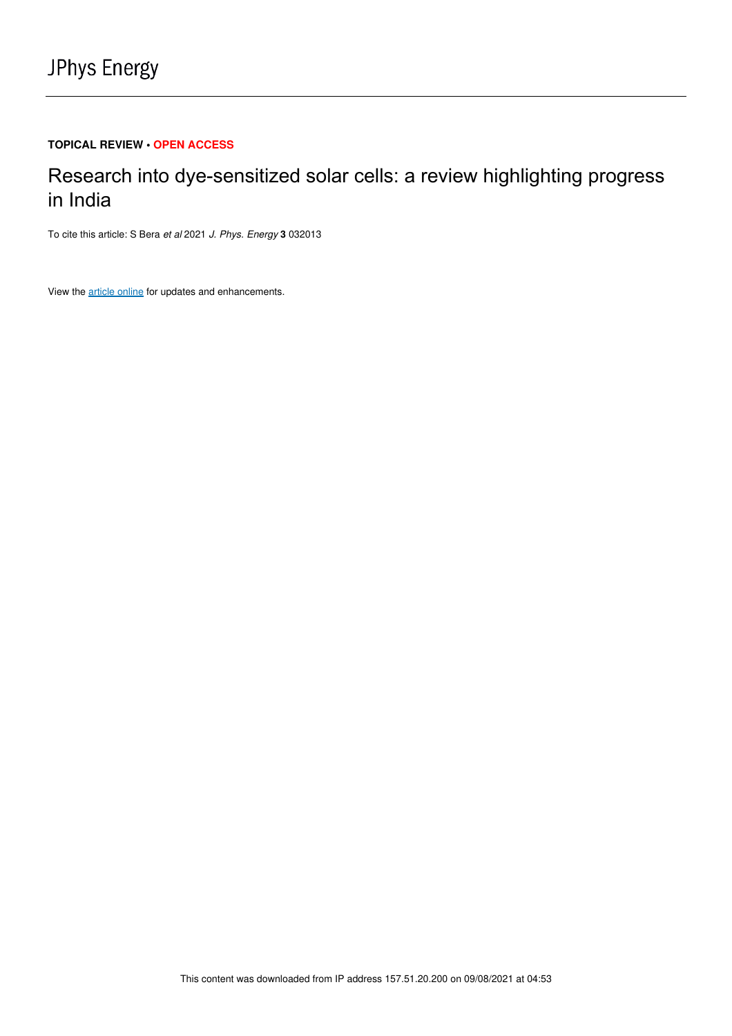# **TOPICAL REVIEW • OPEN ACCESS**

# Research into dye-sensitized solar cells: a review highlighting progress in India

To cite this article: S Bera et al 2021 J. Phys. Energy **3** 032013

View the article online for updates and enhancements.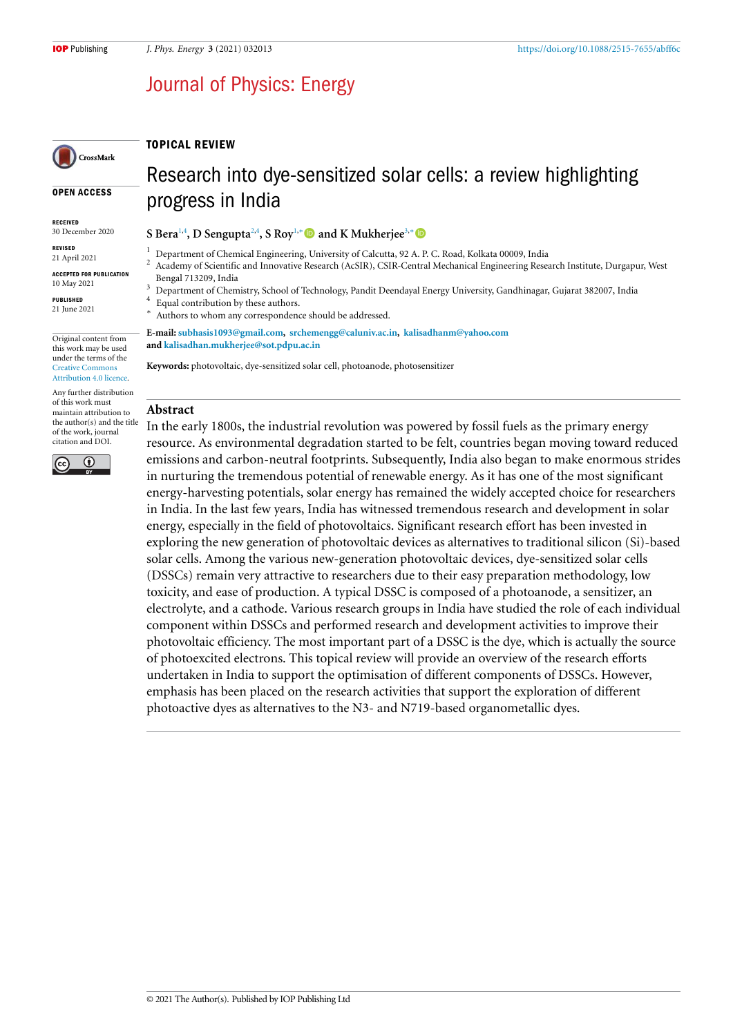# Journal of Physics: Energy

# TOPICAL REVIEW

#### OPEN ACCESS

CrossMark

RECEIVED 30 December 2020

REVISED 21 April 2021

ACCEPTED FOR PUBLICATION 10 May 2021

PUBLISHED 21 June 2021

Original content from this work may be used under the terms of the Creative Commons Attribution 4.0 licence.

Any further distribution of this work must maintain attribution to the author(s) and the title of the work, journal citation and DOI.



Research into dye-sensitized solar cells: a review highlighting progress in India

**S Bera**1,4 **, D Sengupta**2,4 **, S Roy**1,<sup>∗</sup> **and K Mukherjee**3,<sup>∗</sup>

- <sup>1</sup> Department of Chemical Engineering, University of Calcutta, 92 A. P. C. Road, Kolkata 00009, India<br><sup>2</sup> Accdemy of Scientific and Innovative Bessareh (AcSID), CSID Central Mechanical Engineering Bess <sup>2</sup> Academy of Scientific and Innovative Research (AcSIR), CSIR-Central Mechanical Engineering Research Institute, Durgapur, West Bengal 713209, India
- <sup>3</sup> Department of Chemistry, School of Technology, Pandit Deendayal Energy University, Gandhinagar, Gujarat 382007, India
- 4 Equal contribution by these authors. ∗
- Authors to whom any correspondence should be addressed.

**E-mail: subhasis1093@gmail.com, srchemengg@caluniv.ac.in, kalisadhanm@yahoo.com and kalisadhan.mukherjee@sot.pdpu.ac.in**

**Keywords:** photovoltaic, dye-sensitized solar cell, photoanode, photosensitizer

#### **Abstract**

In the early 1800s, the industrial revolution was powered by fossil fuels as the primary energy resource. As environmental degradation started to be felt, countries began moving toward reduced emissions and carbon-neutral footprints. Subsequently, India also began to make enormous strides in nurturing the tremendous potential of renewable energy. As it has one of the most significant energy-harvesting potentials, solar energy has remained the widely accepted choice for researchers in India. In the last few years, India has witnessed tremendous research and development in solar energy, especially in the field of photovoltaics. Significant research effort has been invested in exploring the new generation of photovoltaic devices as alternatives to traditional silicon (Si)-based solar cells. Among the various new-generation photovoltaic devices, dye-sensitized solar cells (DSSCs) remain very attractive to researchers due to their easy preparation methodology, low toxicity, and ease of production. A typical DSSC is composed of a photoanode, a sensitizer, an electrolyte, and a cathode. Various research groups in India have studied the role of each individual component within DSSCs and performed research and development activities to improve their photovoltaic efficiency. The most important part of a DSSC is the dye, which is actually the source of photoexcited electrons. This topical review will provide an overview of the research efforts undertaken in India to support the optimisation of different components of DSSCs. However, emphasis has been placed on the research activities that support the exploration of different photoactive dyes as alternatives to the N3- and N719-based organometallic dyes.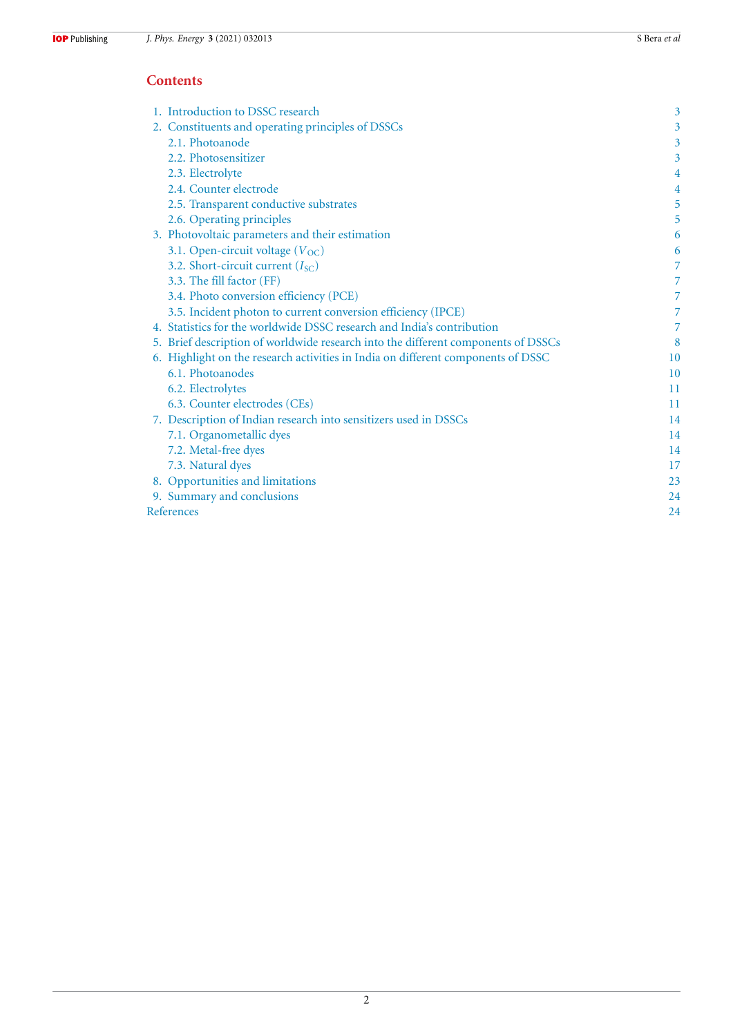# **Contents**

| 1. Introduction to DSSC research                                                  | 3  |
|-----------------------------------------------------------------------------------|----|
| 2. Constituents and operating principles of DSSCs                                 | 3  |
| 2.1. Photoanode                                                                   | 3  |
| 2.2. Photosensitizer                                                              | 3  |
| 2.3. Electrolyte                                                                  | 4  |
| 2.4. Counter electrode                                                            | 4  |
| 2.5. Transparent conductive substrates                                            | 5  |
| 2.6. Operating principles                                                         | 5  |
| 3. Photovoltaic parameters and their estimation                                   | 6  |
| 3.1. Open-circuit voltage $(V_{OC})$                                              | 6  |
| 3.2. Short-circuit current $(I_{SC})$                                             | 7  |
| 3.3. The fill factor (FF)                                                         | 7  |
| 3.4. Photo conversion efficiency (PCE)                                            | 7  |
| 3.5. Incident photon to current conversion efficiency (IPCE)                      | 7  |
| 4. Statistics for the worldwide DSSC research and India's contribution            |    |
| 5. Brief description of worldwide research into the different components of DSSCs | 8  |
| 6. Highlight on the research activities in India on different components of DSSC  | 10 |
| 6.1. Photoanodes                                                                  | 10 |
| 6.2. Electrolytes                                                                 | 11 |
| 6.3. Counter electrodes (CEs)                                                     | 11 |
| 7. Description of Indian research into sensitizers used in DSSCs                  | 14 |
| 7.1. Organometallic dyes                                                          | 14 |
| 7.2. Metal-free dyes                                                              | 14 |
| 7.3. Natural dyes                                                                 | 17 |
| 8. Opportunities and limitations                                                  | 23 |
| 9. Summary and conclusions                                                        | 24 |
| References                                                                        | 24 |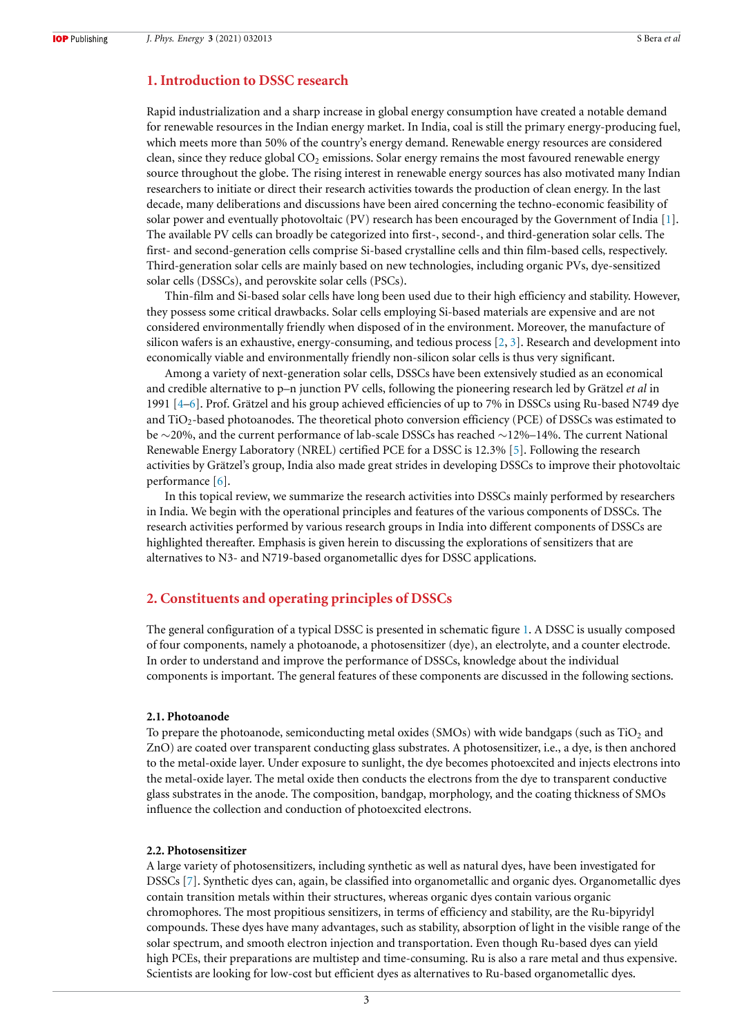# **1. Introduction to DSSC research**

Rapid industrialization and a sharp increase in global energy consumption have created a notable demand for renewable resources in the Indian energy market. In India, coal is still the primary energy-producing fuel, which meets more than 50% of the country's energy demand. Renewable energy resources are considered clean, since they reduce global  $CO<sub>2</sub>$  emissions. Solar energy remains the most favoured renewable energy source throughout the globe. The rising interest in renewable energy sources has also motivated many Indian researchers to initiate or direct their research activities towards the production of clean energy. In the last decade, many deliberations and discussions have been aired concerning the techno-economic feasibility of solar power and eventually photovoltaic (PV) research has been encouraged by the Government of India [1]. The available PV cells can broadly be categorized into first-, second-, and third-generation solar cells. The first- and second-generation cells comprise Si-based crystalline cells and thin film-based cells, respectively. Third-generation solar cells are mainly based on new technologies, including organic PVs, dye-sensitized solar cells (DSSCs), and perovskite solar cells (PSCs).

Thin-film and Si-based solar cells have long been used due to their high efficiency and stability. However, they possess some critical drawbacks. Solar cells employing Si-based materials are expensive and are not considered environmentally friendly when disposed of in the environment. Moreover, the manufacture of silicon wafers is an exhaustive, energy-consuming, and tedious process [2, 3]. Research and development into economically viable and environmentally friendly non-silicon solar cells is thus very significant.

Among a variety of next-generation solar cells, DSSCs have been extensively studied as an economical and credible alternative to p–n junction PV cells, following the pioneering research led by Grätzel *et al* in 1991 [4–6]. Prof. Grätzel and his group achieved efficiencies of up to 7% in DSSCs using Ru-based N749 dye and  $TiO<sub>2</sub>$ -based photoanodes. The theoretical photo conversion efficiency (PCE) of DSSCs was estimated to be ∼20%, and the current performance of lab-scale DSSCs has reached ∼12%–14%. The current National Renewable Energy Laboratory (NREL) certified PCE for a DSSC is 12.3% [5]. Following the research activities by Grätzel's group, India also made great strides in developing DSSCs to improve their photovoltaic performance [6].

In this topical review, we summarize the research activities into DSSCs mainly performed by researchers in India. We begin with the operational principles and features of the various components of DSSCs. The research activities performed by various research groups in India into different components of DSSCs are highlighted thereafter. Emphasis is given herein to discussing the explorations of sensitizers that are alternatives to N3- and N719-based organometallic dyes for DSSC applications.

# **2. Constituents and operating principles of DSSCs**

The general configuration of a typical DSSC is presented in schematic figure 1. A DSSC is usually composed of four components, namely a photoanode, a photosensitizer (dye), an electrolyte, and a counter electrode. In order to understand and improve the performance of DSSCs, knowledge about the individual components is important. The general features of these components are discussed in the following sections.

#### **2.1. Photoanode**

To prepare the photoanode, semiconducting metal oxides (SMOs) with wide bandgaps (such as  $TiO<sub>2</sub>$  and ZnO) are coated over transparent conducting glass substrates. A photosensitizer, i.e., a dye, is then anchored to the metal-oxide layer. Under exposure to sunlight, the dye becomes photoexcited and injects electrons into the metal-oxide layer. The metal oxide then conducts the electrons from the dye to transparent conductive glass substrates in the anode. The composition, bandgap, morphology, and the coating thickness of SMOs influence the collection and conduction of photoexcited electrons.

#### **2.2. Photosensitizer**

A large variety of photosensitizers, including synthetic as well as natural dyes, have been investigated for DSSCs [7]. Synthetic dyes can, again, be classified into organometallic and organic dyes. Organometallic dyes contain transition metals within their structures, whereas organic dyes contain various organic chromophores. The most propitious sensitizers, in terms of efficiency and stability, are the Ru-bipyridyl compounds. These dyes have many advantages, such as stability, absorption of light in the visible range of the solar spectrum, and smooth electron injection and transportation. Even though Ru-based dyes can yield high PCEs, their preparations are multistep and time-consuming. Ru is also a rare metal and thus expensive. Scientists are looking for low-cost but efficient dyes as alternatives to Ru-based organometallic dyes.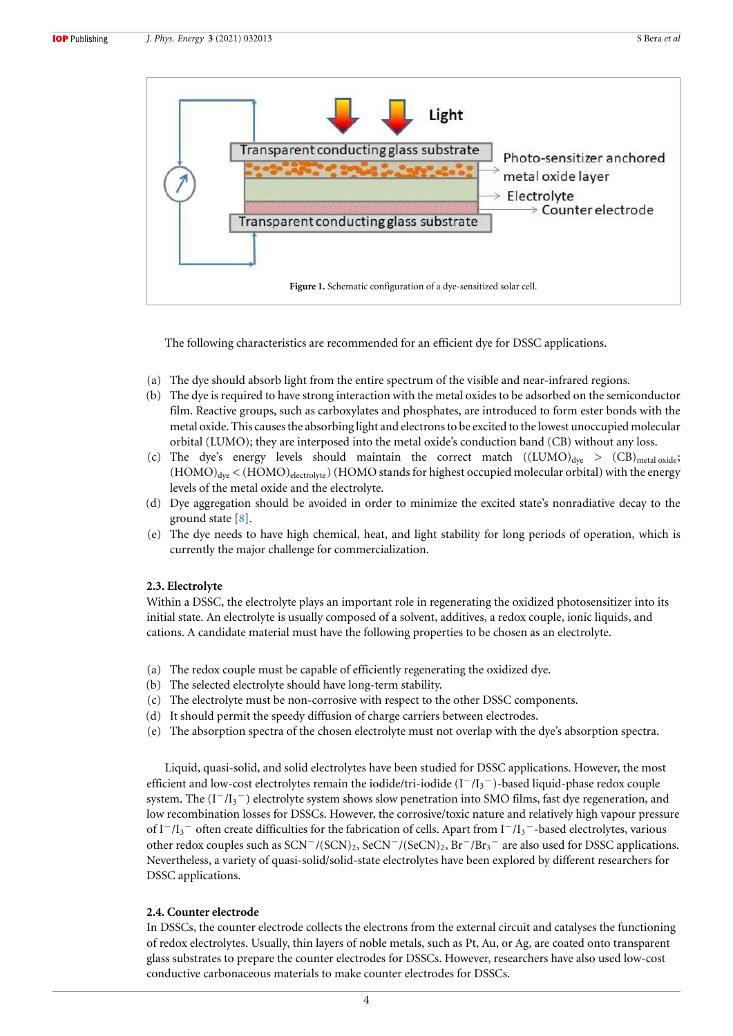

The following characteristics are recommended for an efficient dye for DSSC applications.

- (a) The dye should absorb light from the entire spectrum of the visible and near-infrared regions.
- (b) The dye is required to have strong interaction with the metal oxides to be adsorbed on the semiconductor film. Reactive groups, such as carboxylates and phosphates, are introduced to form ester bonds with the metal oxide. This causes the absorbing light and electrons to be excited to the lowest unoccupied molecular orbital (LUMO); they are interposed into the metal oxide's conduction band (CB) without any loss.
- (c) The dye's energy levels should maintain the correct match  $((LUMO)<sub>dye</sub> > (CB)<sub>metal oxide</sub>;$  $(HOMO)_{\text{dye}}$  <  $(HOMO)_{\text{electrolyte}}$ ) (HOMO stands for highest occupied molecular orbital) with the energy levels of the metal oxide and the electrolyte.
- (d) Dye aggregation should be avoided in order to minimize the excited state's nonradiative decay to the ground state [8].
- (e) The dye needs to have high chemical, heat, and light stability for long periods of operation, which is currently the major challenge for commercialization.

#### **2.3. Electrolyte**

Within a DSSC, the electrolyte plays an important role in regenerating the oxidized photosensitizer into its initial state. An electrolyte is usually composed of a solvent, additives, a redox couple, ionic liquids, and cations. A candidate material must have the following properties to be chosen as an electrolyte.

- (a) The redox couple must be capable of efficiently regenerating the oxidized dye.
- (b) The selected electrolyte should have long-term stability.
- (c) The electrolyte must be non-corrosive with respect to the other DSSC components.
- (d) It should permit the speedy diffusion of charge carriers between electrodes.
- (e) The absorption spectra of the chosen electrolyte must not overlap with the dye's absorption spectra.

Liquid, quasi-solid, and solid electrolytes have been studied for DSSC applications. However, the most efficient and low-cost electrolytes remain the iodide/tri-iodide (I<sup>−</sup>/I<sup>3</sup> <sup>−</sup>)-based liquid-phase redox couple system. The (I<sup>-</sup>/I<sub>3</sub><sup>-</sup>) electrolyte system shows slow penetration into SMO films, fast dye regeneration, and low recombination losses for DSSCs. However, the corrosive/toxic nature and relatively high vapour pressure of I<sup>-</sup>/I<sub>3</sub><sup>-</sup> often create difficulties for the fabrication of cells. Apart from I<sup>-</sup>/I<sub>3</sub><sup>-</sup>-based electrolytes, various other redox couples such as SCN<sup>-</sup>/(SCN)<sub>2</sub>, SeCN<sup>-</sup>/(SeCN)<sub>2</sub>, Br<sup>-</sup>/Br<sub>3</sub><sup>-</sup> are also used for DSSC applications. Nevertheless, a variety of quasi-solid/solid-state electrolytes have been explored by different researchers for DSSC applications.

# **2.4. Counter electrode**

In DSSCs, the counter electrode collects the electrons from the external circuit and catalyses the functioning of redox electrolytes. Usually, thin layers of noble metals, such as Pt, Au, or Ag, are coated onto transparent glass substrates to prepare the counter electrodes for DSSCs. However, researchers have also used low-cost conductive carbonaceous materials to make counter electrodes for DSSCs.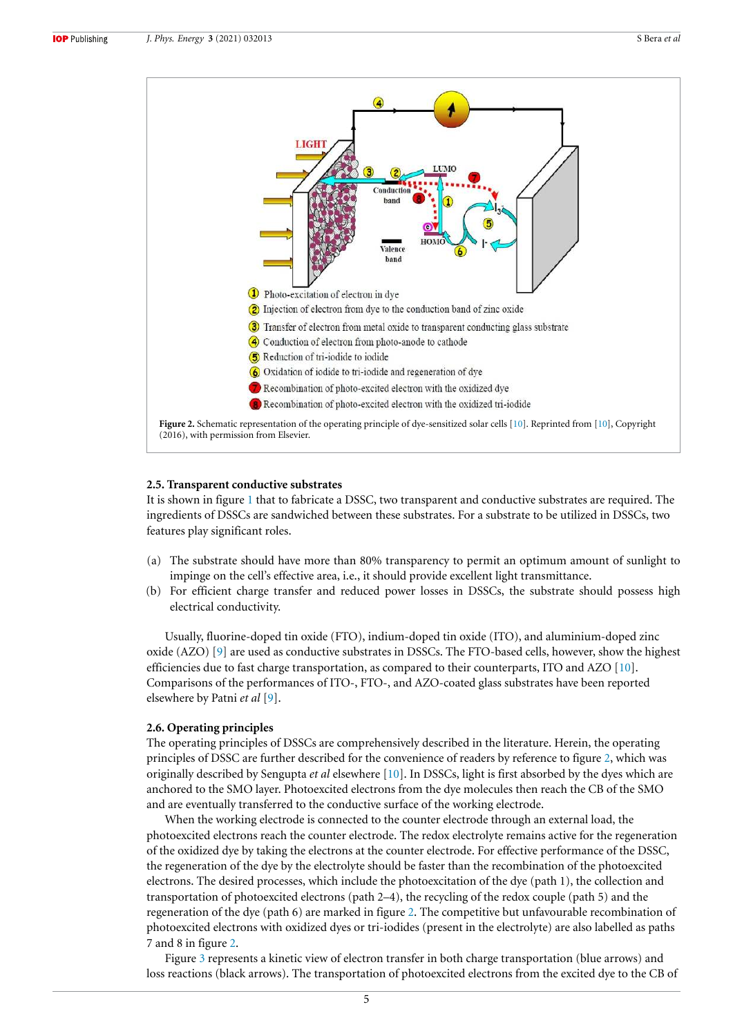

### **2.5. Transparent conductive substrates**

It is shown in figure 1 that to fabricate a DSSC, two transparent and conductive substrates are required. The ingredients of DSSCs are sandwiched between these substrates. For a substrate to be utilized in DSSCs, two features play significant roles.

- (a) The substrate should have more than 80% transparency to permit an optimum amount of sunlight to impinge on the cell's effective area, i.e., it should provide excellent light transmittance.
- (b) For efficient charge transfer and reduced power losses in DSSCs, the substrate should possess high electrical conductivity.

Usually, fluorine-doped tin oxide (FTO), indium-doped tin oxide (ITO), and aluminium-doped zinc oxide (AZO) [9] are used as conductive substrates in DSSCs. The FTO-based cells, however, show the highest efficiencies due to fast charge transportation, as compared to their counterparts, ITO and AZO [10]. Comparisons of the performances of ITO-, FTO-, and AZO-coated glass substrates have been reported elsewhere by Patni *et al* [9].

#### **2.6. Operating principles**

The operating principles of DSSCs are comprehensively described in the literature. Herein, the operating principles of DSSC are further described for the convenience of readers by reference to figure 2, which was originally described by Sengupta *et al* elsewhere [10]. In DSSCs, light is first absorbed by the dyes which are anchored to the SMO layer. Photoexcited electrons from the dye molecules then reach the CB of the SMO and are eventually transferred to the conductive surface of the working electrode.

When the working electrode is connected to the counter electrode through an external load, the photoexcited electrons reach the counter electrode. The redox electrolyte remains active for the regeneration of the oxidized dye by taking the electrons at the counter electrode. For effective performance of the DSSC, the regeneration of the dye by the electrolyte should be faster than the recombination of the photoexcited electrons. The desired processes, which include the photoexcitation of the dye (path 1), the collection and transportation of photoexcited electrons (path 2–4), the recycling of the redox couple (path 5) and the regeneration of the dye (path 6) are marked in figure 2. The competitive but unfavourable recombination of photoexcited electrons with oxidized dyes or tri-iodides (present in the electrolyte) are also labelled as paths 7 and 8 in figure 2.

Figure 3 represents a kinetic view of electron transfer in both charge transportation (blue arrows) and loss reactions (black arrows). The transportation of photoexcited electrons from the excited dye to the CB of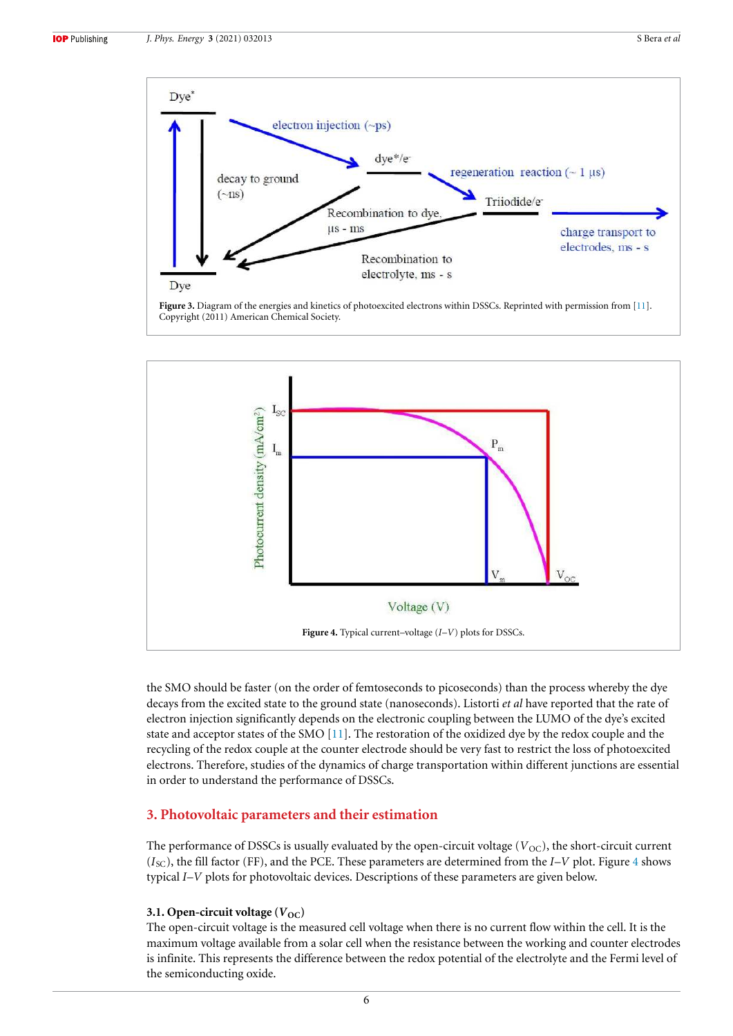



the SMO should be faster (on the order of femtoseconds to picoseconds) than the process whereby the dye decays from the excited state to the ground state (nanoseconds). Listorti *et al* have reported that the rate of electron injection significantly depends on the electronic coupling between the LUMO of the dye's excited state and acceptor states of the SMO [11]. The restoration of the oxidized dye by the redox couple and the recycling of the redox couple at the counter electrode should be very fast to restrict the loss of photoexcited electrons. Therefore, studies of the dynamics of charge transportation within different junctions are essential in order to understand the performance of DSSCs.

# **3. Photovoltaic parameters and their estimation**

The performance of DSSCs is usually evaluated by the open-circuit voltage  $(V_{OC})$ , the short-circuit current  $(I_{SC})$ , the fill factor (FF), and the PCE. These parameters are determined from the  $I-V$  plot. Figure 4 shows typical *I*–*V* plots for photovoltaic devices. Descriptions of these parameters are given below.

# **3.1. Open-circuit voltage**  $(V<sub>OC</sub>)$

The open-circuit voltage is the measured cell voltage when there is no current flow within the cell. It is the maximum voltage available from a solar cell when the resistance between the working and counter electrodes is infinite. This represents the difference between the redox potential of the electrolyte and the Fermi level of the semiconducting oxide.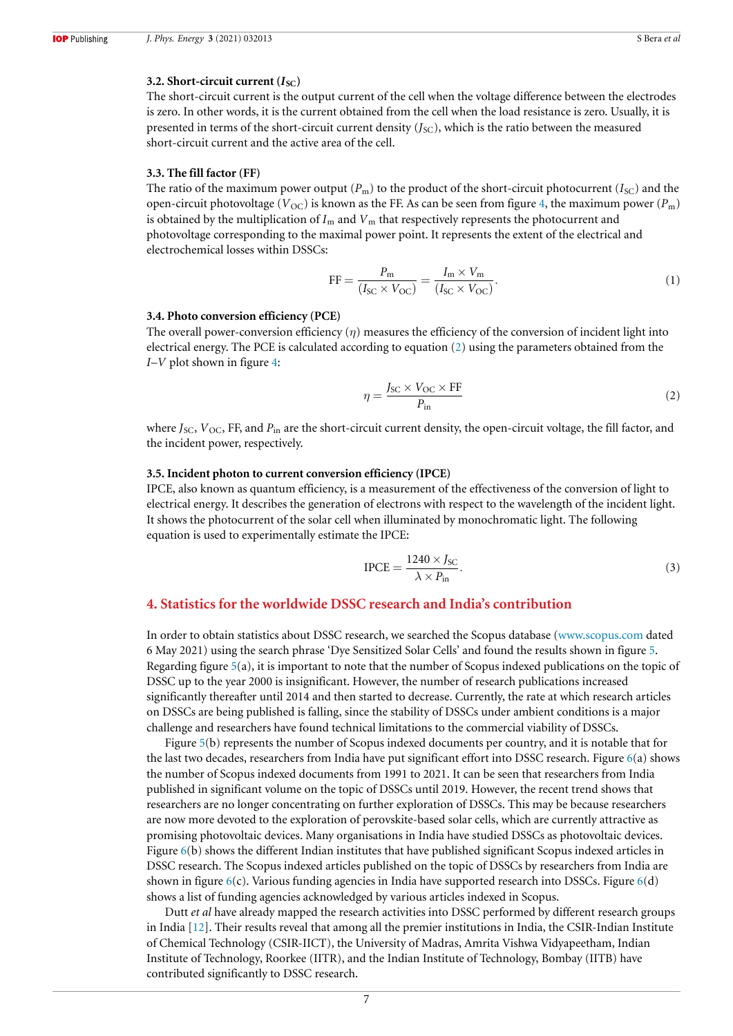#### **3.2. Short-circuit current**  $(I_{SC})$

The short-circuit current is the output current of the cell when the voltage difference between the electrodes is zero. In other words, it is the current obtained from the cell when the load resistance is zero. Usually, it is presented in terms of the short-circuit current density  $(J_{\text{SC}})$ , which is the ratio between the measured short-circuit current and the active area of the cell.

#### **3.3. The fill factor (FF)**

The ratio of the maximum power output  $(P_m)$  to the product of the short-circuit photocurrent  $(I_{\rm SC})$  and the open-circuit photovoltage ( $V_{\text{OC}}$ ) is known as the FF. As can be seen from figure 4, the maximum power ( $P_{\text{m}}$ ) is obtained by the multiplication of  $I_m$  and  $V_m$  that respectively represents the photocurrent and photovoltage corresponding to the maximal power point. It represents the extent of the electrical and electrochemical losses within DSSCs:

$$
FF = \frac{P_m}{(I_{SC} \times V_{OC})} = \frac{I_m \times V_m}{(I_{SC} \times V_{OC})}.
$$
\n(1)

#### **3.4. Photo conversion efficiency (PCE)**

The overall power-conversion efficiency  $(\eta)$  measures the efficiency of the conversion of incident light into electrical energy. The PCE is calculated according to equation (2) using the parameters obtained from the *I*–*V* plot shown in figure 4:

$$
\eta = \frac{J_{\rm SC} \times V_{\rm OC} \times \text{FF}}{P_{\rm in}}\tag{2}
$$

where *J<sub>SC</sub>*, *V*<sub>OC</sub>, FF, and *P*<sub>in</sub> are the short-circuit current density, the open-circuit voltage, the fill factor, and the incident power, respectively.

#### **3.5. Incident photon to current conversion efficiency (IPCE)**

IPCE, also known as quantum efficiency, is a measurement of the effectiveness of the conversion of light to electrical energy. It describes the generation of electrons with respect to the wavelength of the incident light. It shows the photocurrent of the solar cell when illuminated by monochromatic light. The following equation is used to experimentally estimate the IPCE:

$$
I PCE = \frac{1240 \times J_{SC}}{\lambda \times P_{in}}.
$$
\n(3)

# **4. Statistics for the worldwide DSSC research and India's contribution**

In order to obtain statistics about DSSC research, we searched the Scopus database (www.scopus.com dated 6 May 2021) using the search phrase 'Dye Sensitized Solar Cells' and found the results shown in figure 5. Regarding figure 5(a), it is important to note that the number of Scopus indexed publications on the topic of DSSC up to the year 2000 is insignificant. However, the number of research publications increased significantly thereafter until 2014 and then started to decrease. Currently, the rate at which research articles on DSSCs are being published is falling, since the stability of DSSCs under ambient conditions is a major challenge and researchers have found technical limitations to the commercial viability of DSSCs.

Figure 5(b) represents the number of Scopus indexed documents per country, and it is notable that for the last two decades, researchers from India have put significant effort into DSSC research. Figure  $6(a)$  shows the number of Scopus indexed documents from 1991 to 2021. It can be seen that researchers from India published in significant volume on the topic of DSSCs until 2019. However, the recent trend shows that researchers are no longer concentrating on further exploration of DSSCs. This may be because researchers are now more devoted to the exploration of perovskite-based solar cells, which are currently attractive as promising photovoltaic devices. Many organisations in India have studied DSSCs as photovoltaic devices. Figure 6(b) shows the different Indian institutes that have published significant Scopus indexed articles in DSSC research. The Scopus indexed articles published on the topic of DSSCs by researchers from India are shown in figure  $6(c)$ . Various funding agencies in India have supported research into DSSCs. Figure  $6(d)$ shows a list of funding agencies acknowledged by various articles indexed in Scopus.

Dutt *et al* have already mapped the research activities into DSSC performed by different research groups in India [12]. Their results reveal that among all the premier institutions in India, the CSIR-Indian Institute of Chemical Technology (CSIR-IICT), the University of Madras, Amrita Vishwa Vidyapeetham, Indian Institute of Technology, Roorkee (IITR), and the Indian Institute of Technology, Bombay (IITB) have contributed significantly to DSSC research.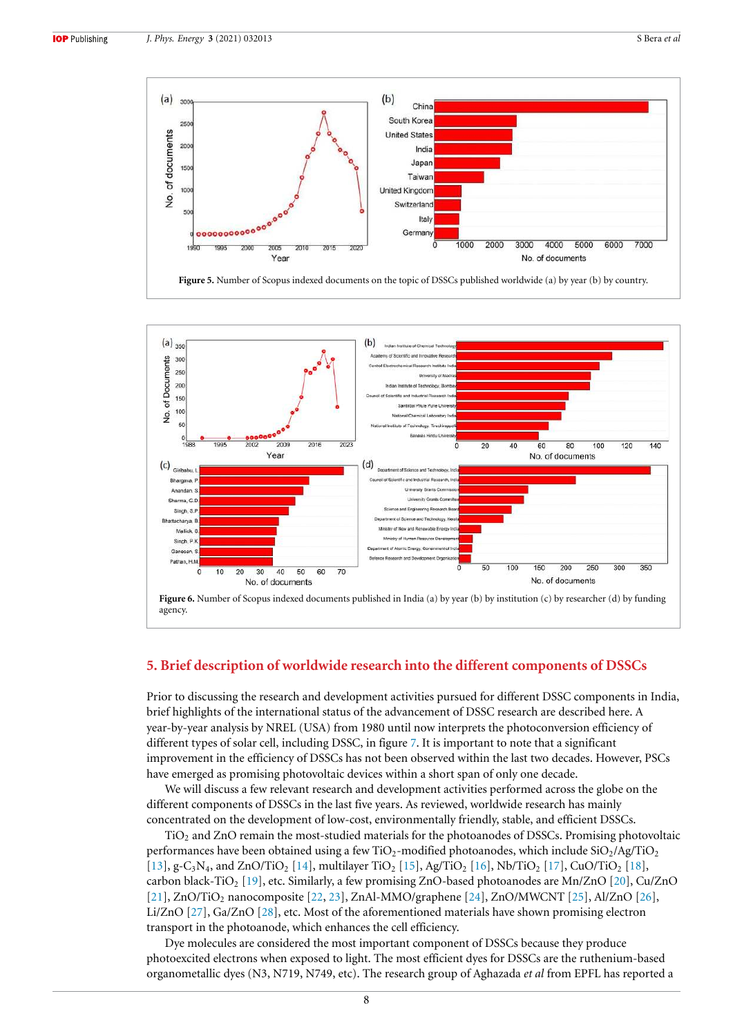





# **5. Brief description of worldwide research into the different components of DSSCs**

Prior to discussing the research and development activities pursued for different DSSC components in India, brief highlights of the international status of the advancement of DSSC research are described here. A year-by-year analysis by NREL (USA) from 1980 until now interprets the photoconversion efficiency of different types of solar cell, including DSSC, in figure 7. It is important to note that a significant improvement in the efficiency of DSSCs has not been observed within the last two decades. However, PSCs have emerged as promising photovoltaic devices within a short span of only one decade.

We will discuss a few relevant research and development activities performed across the globe on the different components of DSSCs in the last five years. As reviewed, worldwide research has mainly concentrated on the development of low-cost, environmentally friendly, stable, and efficient DSSCs.

TiO<sub>2</sub> and ZnO remain the most-studied materials for the photoanodes of DSSCs. Promising photovoltaic performances have been obtained using a few  $TiO<sub>2</sub>$ -modified photoanodes, which include  $SiO<sub>2</sub>/Ag/TiO<sub>2</sub>$ [13], g-C<sub>3</sub>N<sub>4</sub>, and ZnO/TiO<sub>2</sub> [14], multilayer TiO<sub>2</sub> [15], Ag/TiO<sub>2</sub> [16], Nb/TiO<sub>2</sub> [17], CuO/TiO<sub>2</sub> [18], carbon black-TiO<sub>2</sub> [19], etc. Similarly, a few promising ZnO-based photoanodes are Mn/ZnO [20], Cu/ZnO [21], ZnO/TiO<sub>2</sub> nanocomposite [22, 23], ZnAl-MMO/graphene [24], ZnO/MWCNT [25], Al/ZnO [26], Li/ZnO [27], Ga/ZnO [28], etc. Most of the aforementioned materials have shown promising electron transport in the photoanode, which enhances the cell efficiency.

Dye molecules are considered the most important component of DSSCs because they produce photoexcited electrons when exposed to light. The most efficient dyes for DSSCs are the ruthenium-based organometallic dyes (N3, N719, N749, etc). The research group of Aghazada *et al* from EPFL has reported a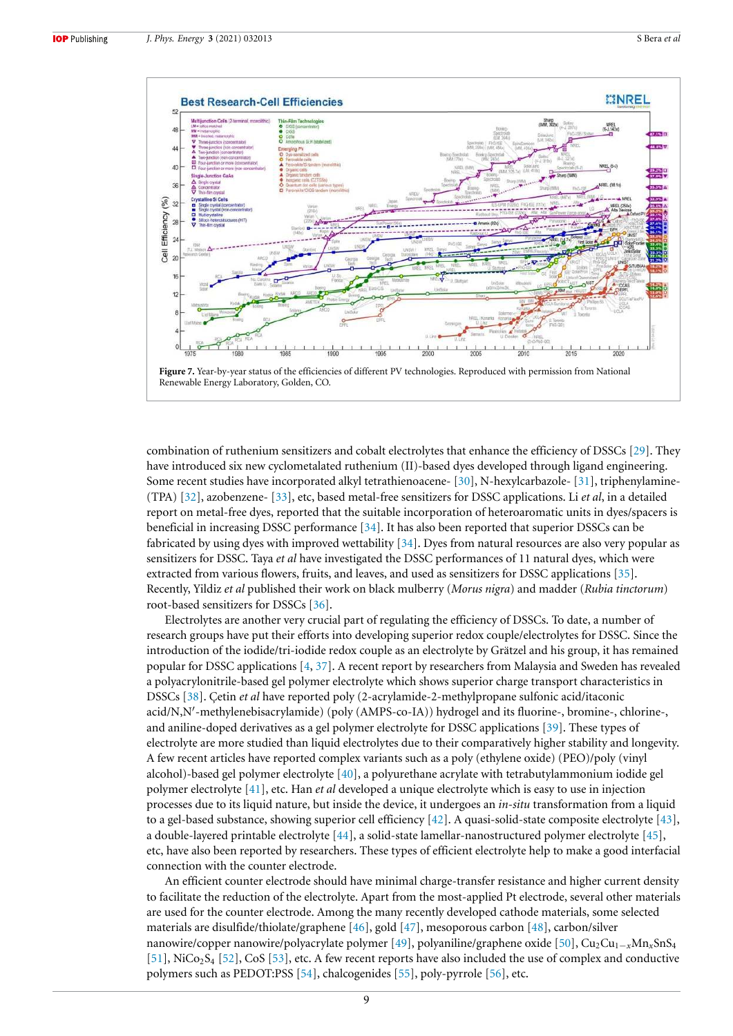

combination of ruthenium sensitizers and cobalt electrolytes that enhance the efficiency of DSSCs [29]. They have introduced six new cyclometalated ruthenium (II)-based dyes developed through ligand engineering. Some recent studies have incorporated alkyl tetrathienoacene- [30], N-hexylcarbazole- [31], triphenylamine- (TPA) [32], azobenzene- [33], etc, based metal-free sensitizers for DSSC applications. Li *et al*, in a detailed report on metal-free dyes, reported that the suitable incorporation of heteroaromatic units in dyes/spacers is beneficial in increasing DSSC performance [34]. It has also been reported that superior DSSCs can be fabricated by using dyes with improved wettability [34]. Dyes from natural resources are also very popular as sensitizers for DSSC. Taya *et al* have investigated the DSSC performances of 11 natural dyes, which were extracted from various flowers, fruits, and leaves, and used as sensitizers for DSSC applications [35]. Recently, Yildiz *et al* published their work on black mulberry (*Morus nigra*) and madder (*Rubia tinctorum*) root-based sensitizers for DSSCs [36].

Electrolytes are another very crucial part of regulating the efficiency of DSSCs. To date, a number of research groups have put their efforts into developing superior redox couple/electrolytes for DSSC. Since the introduction of the iodide/tri-iodide redox couple as an electrolyte by Grätzel and his group, it has remained popular for DSSC applications [4, 37]. A recent report by researchers from Malaysia and Sweden has revealed a polyacrylonitrile-based gel polymer electrolyte which shows superior charge transport characteristics in DSSCs [38]. Çetin *et al* have reported poly (2-acrylamide-2-methylpropane sulfonic acid/itaconic acid/N,N′ -methylenebisacrylamide) (poly (AMPS-co-IA)) hydrogel and its fluorine-, bromine-, chlorine-, and aniline-doped derivatives as a gel polymer electrolyte for DSSC applications [39]. These types of electrolyte are more studied than liquid electrolytes due to their comparatively higher stability and longevity. A few recent articles have reported complex variants such as a poly (ethylene oxide) (PEO)/poly (vinyl alcohol)-based gel polymer electrolyte [40], a polyurethane acrylate with tetrabutylammonium iodide gel polymer electrolyte [41], etc. Han *et al* developed a unique electrolyte which is easy to use in injection processes due to its liquid nature, but inside the device, it undergoes an *in-situ* transformation from a liquid to a gel-based substance, showing superior cell efficiency [42]. A quasi-solid-state composite electrolyte [43], a double-layered printable electrolyte [44], a solid-state lamellar-nanostructured polymer electrolyte [45], etc, have also been reported by researchers. These types of efficient electrolyte help to make a good interfacial connection with the counter electrode.

An efficient counter electrode should have minimal charge-transfer resistance and higher current density to facilitate the reduction of the electrolyte. Apart from the most-applied Pt electrode, several other materials are used for the counter electrode. Among the many recently developed cathode materials, some selected materials are disulfide/thiolate/graphene [46], gold [47], mesoporous carbon [48], carbon/silver nanowire/copper nanowire/polyacrylate polymer [49], polyaniline/graphene oxide [50], Cu<sub>2</sub>Cu<sub>1−*x*</sub>Mn<sub>x</sub>SnS<sub>4</sub> [51], NiCo<sub>2</sub>S<sub>4</sub> [52], CoS [53], etc. A few recent reports have also included the use of complex and conductive polymers such as PEDOT:PSS [54], chalcogenides [55], poly-pyrrole [56], etc.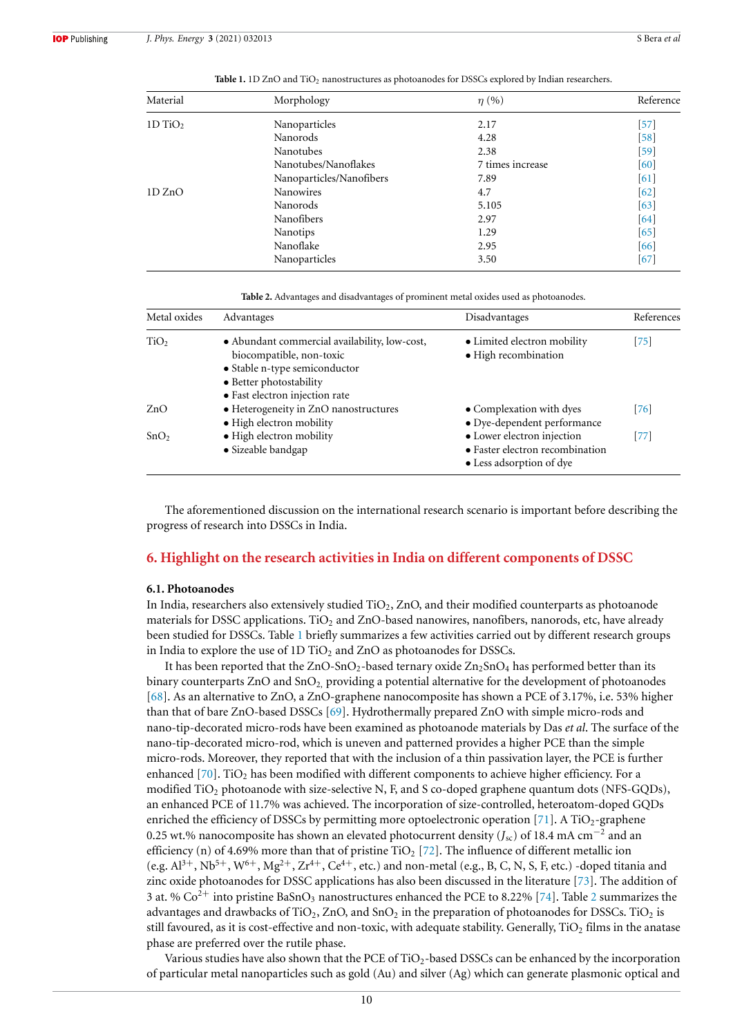| Material              | Morphology               | $\eta$ (%)       | Reference          |
|-----------------------|--------------------------|------------------|--------------------|
| $1D$ TiO <sub>2</sub> | Nanoparticles            | 2.17             | $[57]$             |
|                       | Nanorods                 | 4.28             | $\lceil 58 \rceil$ |
|                       | Nanotubes                | 2.38             | $\lceil 59 \rceil$ |
|                       | Nanotubes/Nanoflakes     | 7 times increase | [60]               |
|                       | Nanoparticles/Nanofibers | 7.89             | $\lceil 61 \rceil$ |
| 1D ZnO                | Nanowires                | 4.7              | $[62]$             |
|                       | Nanorods                 | 5.105            | $\lceil 63 \rceil$ |
|                       | <b>Nanofibers</b>        | 2.97             | [64]               |
|                       | <b>Nanotips</b>          | 1.29             | [65]               |
|                       | Nanoflake                | 2.95             | [66]               |
|                       | Nanoparticles            | 3.50             | [67]               |

Table 1. 1D ZnO and TiO<sub>2</sub> nanostructures as photoanodes for DSSCs explored by Indian researchers.

**Table 2.** Advantages and disadvantages of prominent metal oxides used as photoanodes.

| Metal oxides     | Advantages                                                                | Disadvantages                                       | References |
|------------------|---------------------------------------------------------------------------|-----------------------------------------------------|------------|
| TiO <sub>2</sub> | • Abundant commercial availability, low-cost,<br>biocompatible, non-toxic | • Limited electron mobility<br>• High recombination | [75]       |
|                  | • Stable n-type semiconductor<br>• Better photostability                  |                                                     |            |
|                  | • Fast electron injection rate                                            |                                                     |            |
| ZnO              | • Heterogeneity in ZnO nanostructures                                     | • Complexation with dyes                            | $[76]$     |
|                  | • High electron mobility                                                  | • Dye-dependent performance                         |            |
| SnO <sub>2</sub> | • High electron mobility                                                  | • Lower electron injection                          | [77]       |
|                  | • Sizeable bandgap                                                        | • Faster electron recombination                     |            |
|                  |                                                                           | • Less adsorption of dye                            |            |

The aforementioned discussion on the international research scenario is important before describing the progress of research into DSSCs in India.

#### **6. Highlight on the research activities in India on different components of DSSC**

#### **6.1. Photoanodes**

In India, researchers also extensively studied  $TiO<sub>2</sub>$ , ZnO, and their modified counterparts as photoanode materials for DSSC applications. TiO<sub>2</sub> and ZnO-based nanowires, nanofibers, nanorods, etc, have already been studied for DSSCs. Table 1 briefly summarizes a few activities carried out by different research groups in India to explore the use of  $1D TiO<sub>2</sub>$  and  $ZnO$  as photoanodes for DSSCs.

It has been reported that the  $ZnO-SnO<sub>2</sub>$ -based ternary oxide  $Zn<sub>2</sub>SnO<sub>4</sub>$  has performed better than its binary counterparts  $ZnO$  and  $SnO<sub>2</sub>$ , providing a potential alternative for the development of photoanodes [68]. As an alternative to ZnO, a ZnO-graphene nanocomposite has shown a PCE of 3.17%, i.e. 53% higher than that of bare ZnO-based DSSCs [69]. Hydrothermally prepared ZnO with simple micro-rods and nano-tip-decorated micro-rods have been examined as photoanode materials by Das *et al*. The surface of the nano-tip-decorated micro-rod, which is uneven and patterned provides a higher PCE than the simple micro-rods. Moreover, they reported that with the inclusion of a thin passivation layer, the PCE is further enhanced  $[70]$ . TiO<sub>2</sub> has been modified with different components to achieve higher efficiency. For a modified  $TiO<sub>2</sub>$  photoanode with size-selective N, F, and S co-doped graphene quantum dots (NFS-GQDs), an enhanced PCE of 11.7% was achieved. The incorporation of size-controlled, heteroatom-doped GQDs enriched the efficiency of DSSCs by permitting more optoelectronic operation  $[71]$ . A TiO<sub>2</sub>-graphene 0.25 wt.% nanocomposite has shown an elevated photocurrent density (*J*sc) of 18.4 mA cm<sup>−</sup><sup>2</sup> and an efficiency (n) of 4.69% more than that of pristine  $TiO<sub>2</sub>$  [72]. The influence of different metallic ion (e.g.  $Al^{3+}$ ,  $Nb^{5+}$ ,  $W^{6+}$ ,  $Mg^{2+}$ ,  $Zr^{4+}$ ,  $Ce^{4+}$ , etc.) and non-metal (e.g., B, C, N, S, F, etc.) -doped titania and zinc oxide photoanodes for DSSC applications has also been discussed in the literature [73]. The addition of 3 at. %  $Co^{2+}$  into pristine BaSnO<sub>3</sub> nanostructures enhanced the PCE to 8.22% [74]. Table 2 summarizes the advantages and drawbacks of  $TiO<sub>2</sub>$ , ZnO, and  $SnO<sub>2</sub>$  in the preparation of photoanodes for DSSCs.  $TiO<sub>2</sub>$  is still favoured, as it is cost-effective and non-toxic, with adequate stability. Generally,  $TiO<sub>2</sub>$  films in the anatase phase are preferred over the rutile phase.

Various studies have also shown that the PCE of  $TiO<sub>2</sub>$ -based DSSCs can be enhanced by the incorporation of particular metal nanoparticles such as gold (Au) and silver (Ag) which can generate plasmonic optical and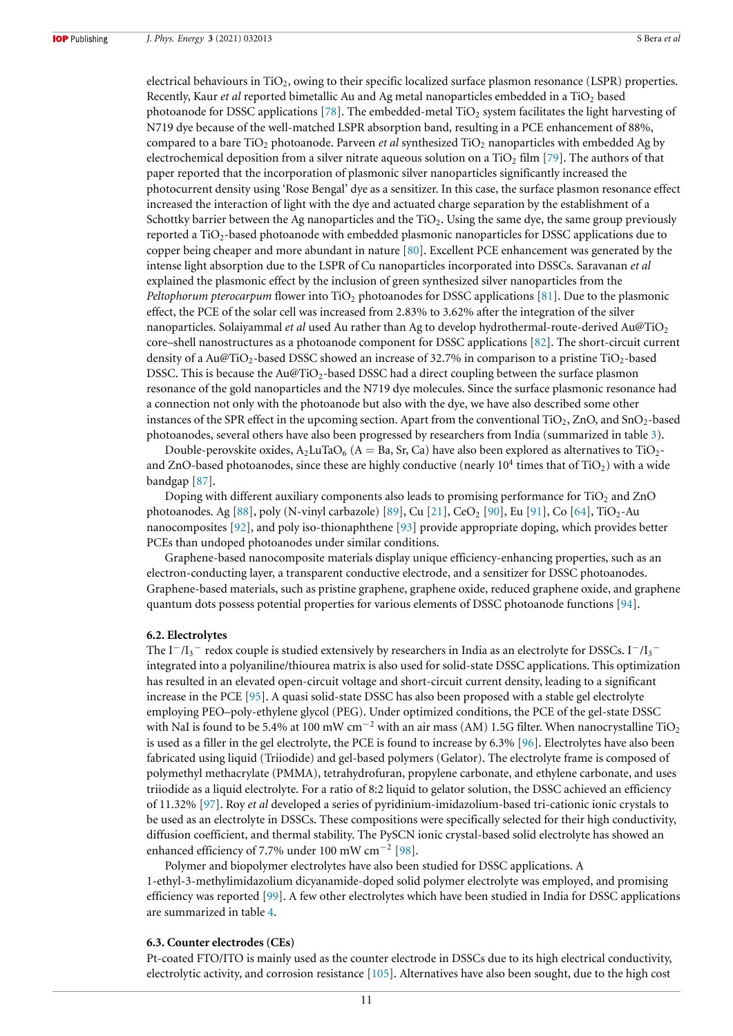electrical behaviours in TiO2, owing to their specific localized surface plasmon resonance (LSPR) properties. Recently, Kaur *et al* reported bimetallic Au and Ag metal nanoparticles embedded in a TiO<sub>2</sub> based photoanode for DSSC applications [78]. The embedded-metal TiO<sub>2</sub> system facilitates the light harvesting of N719 dye because of the well-matched LSPR absorption band, resulting in a PCE enhancement of 88%, compared to a bare TiO<sub>2</sub> photoanode. Parveen *et al* synthesized TiO<sub>2</sub> nanoparticles with embedded Ag by electrochemical deposition from a silver nitrate aqueous solution on a  $TiO<sub>2</sub> film [79]$ . The authors of that paper reported that the incorporation of plasmonic silver nanoparticles significantly increased the photocurrent density using 'Rose Bengal' dye as a sensitizer. In this case, the surface plasmon resonance effect increased the interaction of light with the dye and actuated charge separation by the establishment of a Schottky barrier between the Ag nanoparticles and the TiO<sub>2</sub>. Using the same dye, the same group previously reported a TiO<sub>2</sub>-based photoanode with embedded plasmonic nanoparticles for DSSC applications due to copper being cheaper and more abundant in nature [80]. Excellent PCE enhancement was generated by the intense light absorption due to the LSPR of Cu nanoparticles incorporated into DSSCs. Saravanan *et al* explained the plasmonic effect by the inclusion of green synthesized silver nanoparticles from the *Peltophorum pterocarpum* flower into TiO<sub>2</sub> photoanodes for DSSC applications [81]. Due to the plasmonic effect, the PCE of the solar cell was increased from 2.83% to 3.62% after the integration of the silver nanoparticles. Solaiyammal *et al* used Au rather than Ag to develop hydrothermal-route-derived Au@TiO<sup>2</sup> core–shell nanostructures as a photoanode component for DSSC applications [82]. The short-circuit current density of a Au@TiO<sub>2</sub>-based DSSC showed an increase of 32.7% in comparison to a pristine TiO<sub>2</sub>-based DSSC. This is because the Au@TiO<sub>2</sub>-based DSSC had a direct coupling between the surface plasmon resonance of the gold nanoparticles and the N719 dye molecules. Since the surface plasmonic resonance had a connection not only with the photoanode but also with the dye, we have also described some other instances of the SPR effect in the upcoming section. Apart from the conventional  $TiO<sub>2</sub>$ , ZnO, and SnO<sub>2</sub>-based photoanodes, several others have also been progressed by researchers from India (summarized in table 3).

Double-perovskite oxides,  $A_2$ LuTaO<sub>6</sub> (A = Ba, Sr, Ca) have also been explored as alternatives to TiO<sub>2</sub>and ZnO-based photoanodes, since these are highly conductive (nearly  $10^4$  times that of TiO2) with a wide bandgap [87].

Doping with different auxiliary components also leads to promising performance for  $TiO<sub>2</sub>$  and ZnO photoanodes. Ag [88], poly (N-vinyl carbazole) [89], Cu [21], CeO<sub>2</sub> [90], Eu [91], Co [64], TiO<sub>2</sub>-Au nanocomposites [92], and poly iso-thionaphthene [93] provide appropriate doping, which provides better PCEs than undoped photoanodes under similar conditions.

Graphene-based nanocomposite materials display unique efficiency-enhancing properties, such as an electron-conducting layer, a transparent conductive electrode, and a sensitizer for DSSC photoanodes. Graphene-based materials, such as pristine graphene, graphene oxide, reduced graphene oxide, and graphene quantum dots possess potential properties for various elements of DSSC photoanode functions [94].

#### **6.2. Electrolytes**

The I<sup>−</sup>/I<sub>3</sub><sup>−</sup> redox couple is studied extensively by researchers in India as an electrolyte for DSSCs. I<sup>−</sup>/I<sub>3</sub><sup>−</sup> integrated into a polyaniline/thiourea matrix is also used for solid-state DSSC applications. This optimization has resulted in an elevated open-circuit voltage and short-circuit current density, leading to a significant increase in the PCE [95]. A quasi solid-state DSSC has also been proposed with a stable gel electrolyte employing PEO–poly-ethylene glycol (PEG). Under optimized conditions, the PCE of the gel-state DSSC with NaI is found to be 5.4% at 100 mW cm<sup>-2</sup> with an air mass (AM) 1.5G filter. When nanocrystalline TiO<sub>2</sub> is used as a filler in the gel electrolyte, the PCE is found to increase by 6.3% [96]. Electrolytes have also been fabricated using liquid (Triiodide) and gel-based polymers (Gelator). The electrolyte frame is composed of polymethyl methacrylate (PMMA), tetrahydrofuran, propylene carbonate, and ethylene carbonate, and uses triiodide as a liquid electrolyte. For a ratio of 8:2 liquid to gelator solution, the DSSC achieved an efficiency of 11.32% [97]. Roy *et al* developed a series of pyridinium-imidazolium-based tri-cationic ionic crystals to be used as an electrolyte in DSSCs. These compositions were specifically selected for their high conductivity, diffusion coefficient, and thermal stability. The PySCN ionic crystal-based solid electrolyte has showed an enhanced efficiency of 7.7% under 100 mW cm<sup>−</sup><sup>2</sup> [98].

Polymer and biopolymer electrolytes have also been studied for DSSC applications. A 1-ethyl-3-methylimidazolium dicyanamide-doped solid polymer electrolyte was employed, and promising efficiency was reported [99]. A few other electrolytes which have been studied in India for DSSC applications are summarized in table 4.

#### **6.3. Counter electrodes (CEs)**

Pt-coated FTO/ITO is mainly used as the counter electrode in DSSCs due to its high electrical conductivity, electrolytic activity, and corrosion resistance [105]. Alternatives have also been sought, due to the high cost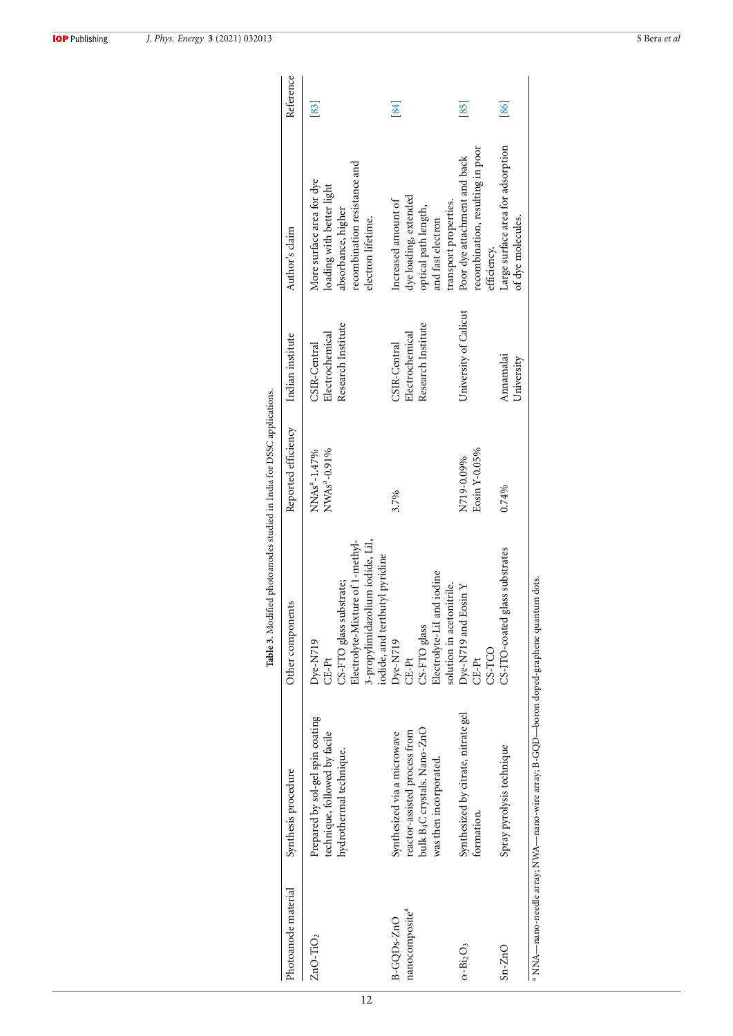|                                                       |                                                                                                                       | Table 3. Modified photoanodes studied in India for DSSC applications.                                                                                    |                                                      |                                                       |                                                                                                                                    |                    |
|-------------------------------------------------------|-----------------------------------------------------------------------------------------------------------------------|----------------------------------------------------------------------------------------------------------------------------------------------------------|------------------------------------------------------|-------------------------------------------------------|------------------------------------------------------------------------------------------------------------------------------------|--------------------|
| Photoanode material                                   | Synthesis procedure                                                                                                   | Other components                                                                                                                                         | Reported efficiency                                  | Indian institute                                      | Author's claim                                                                                                                     | Reference          |
| $ZnO-TiO2$                                            | Prepared by sol-gel spin coating<br>technique, followed by facile<br>hydrothermal technique.                          | 3-propylimidazolium iodide, LiI,<br>Electrolyte-Mixture of 1-methyl-<br>iodide, and tertbutyl pyridine<br>CS-FTO glass substrate;<br>$Dve-N719$<br>CE-Pt | NWAs <sup>a</sup> -0.91%<br>NNAs <sup>a</sup> -1.47% | Research Institute<br>Electrochemical<br>CSIR-Central | recombination resistance and<br>More surface area for dye<br>loading with better light<br>absorbance, higher<br>electron lifetime. | $\left[ 83\right]$ |
| nanocomposite <sup>a</sup><br>B-GQD <sub>s</sub> -ZnO | bulk B4C crystals. Nano-ZnO<br>reactor-assisted process from<br>Synthesized via a microwave<br>was then incorporated. | Electrolyte-LiI and iodine<br>solution in acetonitrile.<br>CS-FTO glass<br>Dye-N719<br>CE-Pt                                                             | 3.7%                                                 | Research Institute<br>Electrochemical<br>CSIR-Central | dye loading, extended<br>Increased amount of<br>transport properties.<br>optical path length,<br>and fast electron                 | [84]               |
| $\alpha$ -Bi <sub>2</sub> O <sub>3</sub>              | Synthesized by citrate, nitrate gel<br>formation.                                                                     | Dye-N719 and Eosin Y<br>CS-TCO<br>CE-Pt                                                                                                                  | Eosin Y-0.05%<br>N719-0.09%                          | University of Calicut                                 | recombination, resulting in poor<br>Poor dye attachment and back<br>efficiency.                                                    | [85]               |
| $Sn-ZnO$                                              | Spray pyrolysis technique                                                                                             | glass substrates<br>CS-ITO-coated                                                                                                                        | 0.74%                                                | Annamalai<br>University                               | Large surface area for adsorption<br>of dye molecules.                                                                             | [86]               |
|                                                       | a NNA—nano-needle array; NWA—nano-wire array; B-GQD—boron doped-graphene quantum dots.                                |                                                                                                                                                          |                                                      |                                                       |                                                                                                                                    |                    |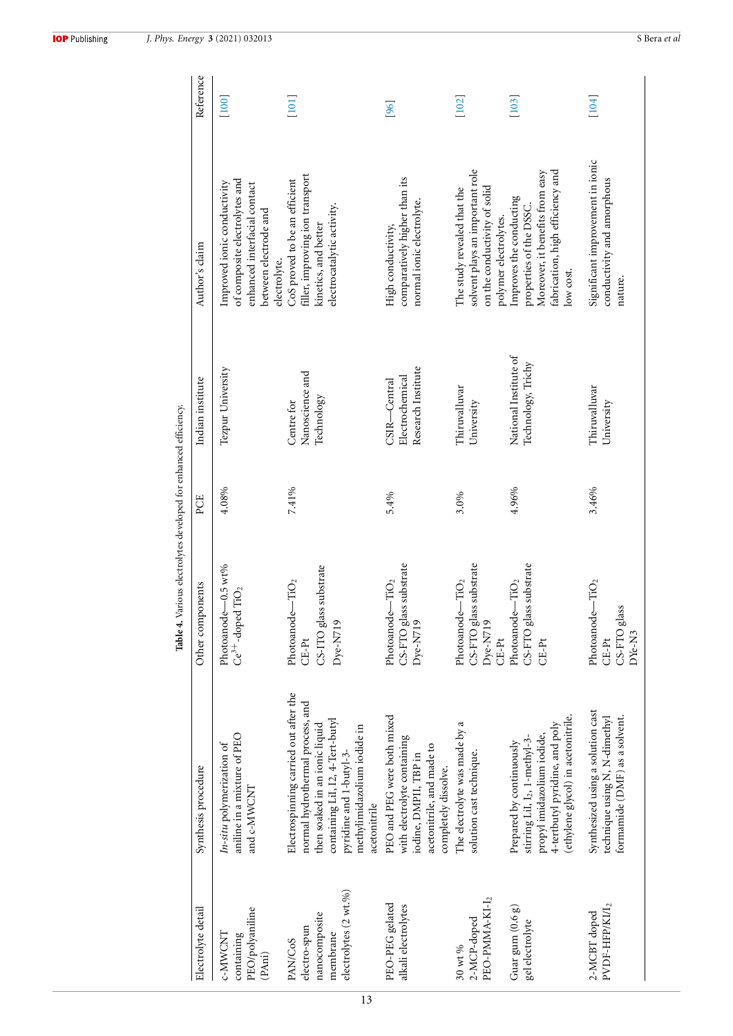|                                                                                      |                                                                                                                                                                                                                           | Table 4. Various electrolytes developed for enhanced efficiency.                      |       |                                                          |                                                                                                                                        |           |
|--------------------------------------------------------------------------------------|---------------------------------------------------------------------------------------------------------------------------------------------------------------------------------------------------------------------------|---------------------------------------------------------------------------------------|-------|----------------------------------------------------------|----------------------------------------------------------------------------------------------------------------------------------------|-----------|
| Electrolyte detail                                                                   | Synthesis procedure                                                                                                                                                                                                       | Other components                                                                      | PCE   | Indian institute                                         | Author's claim                                                                                                                         | Reference |
| PEO/polyaniline<br>C-MWCNT<br>containing<br>(PAni)                                   | aniline in a mixture of PEO<br>In-situ polymerization of<br>and c-MWCNT                                                                                                                                                   | Photoanode-0.5 wt%<br>$Ce^{3+}$ -doped $TiO2$                                         | 4.08% | Tezpur University                                        | of composite electrolytes and<br>Improved ionic conductivity<br>enhanced interfacial contact<br>between electrode and<br>electrolyte.  | [100]     |
| electrolytes (2 wt.%)<br>nanocomposite<br>electro-spun<br>membrane<br><b>PAN/CoS</b> | Electrospinning carried out after the<br>normal hydrothermal process, and<br>containing LiI, 12, 4-Tert-butyl<br>then soaked in an ionic liquid<br>methylimidazolium iodide in<br>pyridine and 1-butyl-3-<br>acetonitrile | CS-ITO glass substrate<br>$-$ TiO <sub>2</sub><br>Photoanode<br>$Dye-N719$<br>$CE-Pt$ | 7.41% | Nanoscience and<br>Technology<br>Centre for              | filler, improving ion transport<br>CoS proved to be an efficient<br>electrocatalytic activity.<br>kinetics, and better                 | $[101]$   |
| PEO-PEG gelated<br>alkali electrolytes                                               | PEO and PEG were both mixed<br>with electrolyte containing<br>acetonitrile, and made to<br>iodine, DMPII, TBP in<br>completely dissolve.                                                                                  | CS-FTO glass substrate<br>Photoanode- $TiO2$<br>$Dye$ -N719                           | 5.4%  | Research Institute<br>Electrochemical<br>$CSR - Central$ | comparatively higher than its<br>normal ionic electrolyte.<br>High conductivity,                                                       | [96]      |
| PEO-PMMA-KI-I <sub>2</sub><br>2-MCP-doped<br>30 wt %                                 | The electrolyte was made by a<br>solution cast technique.                                                                                                                                                                 | CS-FTO glass substrate<br>-TiO <sub>2</sub><br>Photoanode-<br>$Dyc-N719$<br>$CE-Pt$   | 3.0%  | Thiruvalluvar<br>University                              | solvent plays an important role<br>on the conductivity of solid<br>The study revealed that the<br>polymer electrolytes.                | [102]     |
| Guar gum $(0.6 g)$<br>gel electrolyte                                                | (ethylene glycol) in acetonitrile.<br>4-tertbutyl pyridine, and poly<br>propyl imidazolium iodide,<br>stirring LiI, I2, 1-methyl-3-<br>Prepared by continuously                                                           | CS-FTO glass substrate<br>Photoanode- $TiO2$<br>$CE-Pt$                               | 4.96% | National Institute of<br>Technology, Trichy              | fabrication, high efficiency and<br>Moreover, it benefits from easy<br>Improves the conducting<br>properties of the DSSC.<br>low cost. | [103]     |
| $\texttt{PVDF-HFP/KII}_2$<br>2-MCBT doped                                            | Synthesized using a solution cast<br>formamide (DMF) as a solvent.<br>technique using N, N-dimethyl                                                                                                                       | Photoanode- $TiO2$<br>CS-FTO glass<br>DYe-N3<br>CE-Pt                                 | 3.46% | Thiruvalluvar<br>University                              | Significant improvement in ionic<br>conductivity and amorphous<br>nature.                                                              | [104]     |

13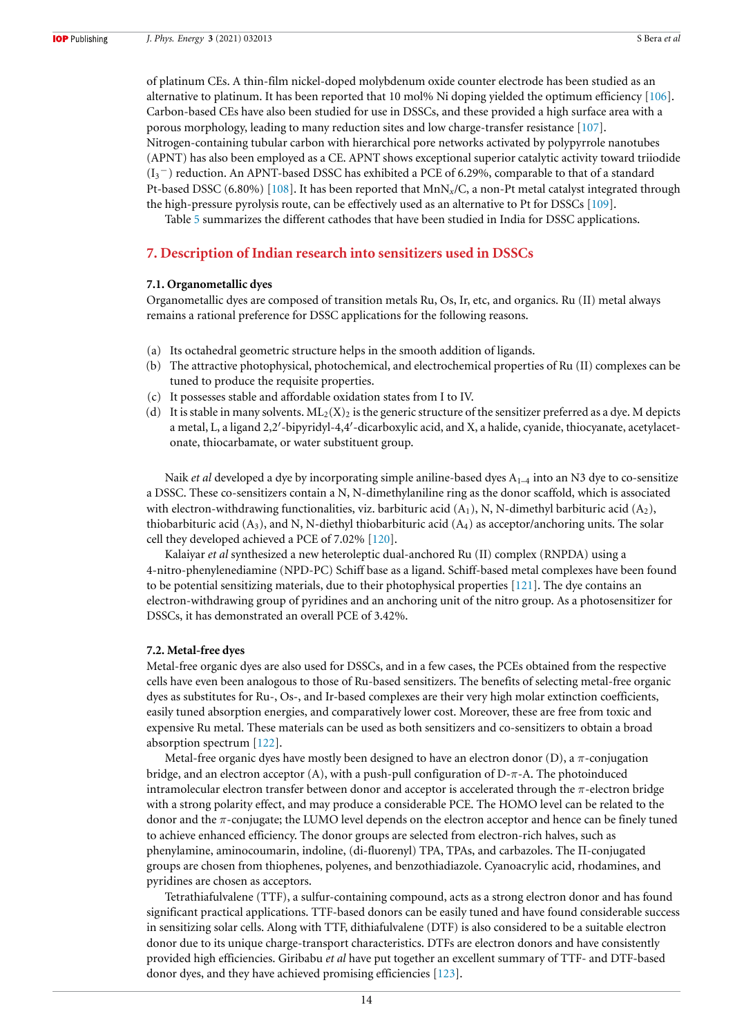of platinum CEs. A thin-film nickel-doped molybdenum oxide counter electrode has been studied as an alternative to platinum. It has been reported that 10 mol% Ni doping yielded the optimum efficiency [106]. Carbon-based CEs have also been studied for use in DSSCs, and these provided a high surface area with a porous morphology, leading to many reduction sites and low charge-transfer resistance [107]. Nitrogen-containing tubular carbon with hierarchical pore networks activated by polypyrrole nanotubes (APNT) has also been employed as a CE. APNT shows exceptional superior catalytic activity toward triiodide (I3 <sup>−</sup>) reduction. An APNT-based DSSC has exhibited a PCE of 6.29%, comparable to that of a standard Pt-based DSSC (6.80%) [108]. It has been reported that MnN*x*/C, a non-Pt metal catalyst integrated through the high-pressure pyrolysis route, can be effectively used as an alternative to Pt for DSSCs [109].

Table 5 summarizes the different cathodes that have been studied in India for DSSC applications.

# **7. Description of Indian research into sensitizers used in DSSCs**

#### **7.1. Organometallic dyes**

Organometallic dyes are composed of transition metals Ru, Os, Ir, etc, and organics. Ru (II) metal always remains a rational preference for DSSC applications for the following reasons.

- (a) Its octahedral geometric structure helps in the smooth addition of ligands.
- (b) The attractive photophysical, photochemical, and electrochemical properties of Ru (II) complexes can be tuned to produce the requisite properties.
- (c) It possesses stable and affordable oxidation states from I to IV.
- (d) It is stable in many solvents.  $ML_2(X)_2$  is the generic structure of the sensitizer preferred as a dye. M depicts a metal, L, a ligand 2,2′ -bipyridyl-4,4′ -dicarboxylic acid, and X, a halide, cyanide, thiocyanate, acetylacetonate, thiocarbamate, or water substituent group.

Naik *et al* developed a dye by incorporating simple aniline-based dyes A<sub>1–4</sub> into an N3 dye to co-sensitize a DSSC. These co-sensitizers contain a N, N-dimethylaniline ring as the donor scaffold, which is associated with electron-withdrawing functionalities, viz. barbituric acid  $(A_1)$ , N, N-dimethyl barbituric acid  $(A_2)$ , thiobarbituric acid  $(A_3)$ , and N, N-diethyl thiobarbituric acid  $(A_4)$  as acceptor/anchoring units. The solar cell they developed achieved a PCE of 7.02% [120].

Kalaiyar *et al* synthesized a new heteroleptic dual-anchored Ru (II) complex (RNPDA) using a 4-nitro-phenylenediamine (NPD-PC) Schiff base as a ligand. Schiff-based metal complexes have been found to be potential sensitizing materials, due to their photophysical properties [121]. The dye contains an electron-withdrawing group of pyridines and an anchoring unit of the nitro group. As a photosensitizer for DSSCs, it has demonstrated an overall PCE of 3.42%.

#### **7.2. Metal-free dyes**

Metal-free organic dyes are also used for DSSCs, and in a few cases, the PCEs obtained from the respective cells have even been analogous to those of Ru-based sensitizers. The benefits of selecting metal-free organic dyes as substitutes for Ru-, Os-, and Ir-based complexes are their very high molar extinction coefficients, easily tuned absorption energies, and comparatively lower cost. Moreover, these are free from toxic and expensive Ru metal. These materials can be used as both sensitizers and co-sensitizers to obtain a broad absorption spectrum [122].

Metal-free organic dyes have mostly been designed to have an electron donor  $(D)$ , a  $\pi$ -conjugation bridge, and an electron acceptor (A), with a push-pull configuration of  $D-\pi$ -A. The photoinduced intramolecular electron transfer between donor and acceptor is accelerated through the  $\pi$ -electron bridge with a strong polarity effect, and may produce a considerable PCE. The HOMO level can be related to the donor and the π-conjugate; the LUMO level depends on the electron acceptor and hence can be finely tuned to achieve enhanced efficiency. The donor groups are selected from electron-rich halves, such as phenylamine, aminocoumarin, indoline, (di-fluorenyl) TPA, TPAs, and carbazoles. The Π-conjugated groups are chosen from thiophenes, polyenes, and benzothiadiazole. Cyanoacrylic acid, rhodamines, and pyridines are chosen as acceptors.

Tetrathiafulvalene (TTF), a sulfur-containing compound, acts as a strong electron donor and has found significant practical applications. TTF-based donors can be easily tuned and have found considerable success in sensitizing solar cells. Along with TTF, dithiafulvalene (DTF) is also considered to be a suitable electron donor due to its unique charge-transport characteristics. DTFs are electron donors and have consistently provided high efficiencies. Giribabu *et al* have put together an excellent summary of TTF- and DTF-based donor dyes, and they have achieved promising efficiencies [123].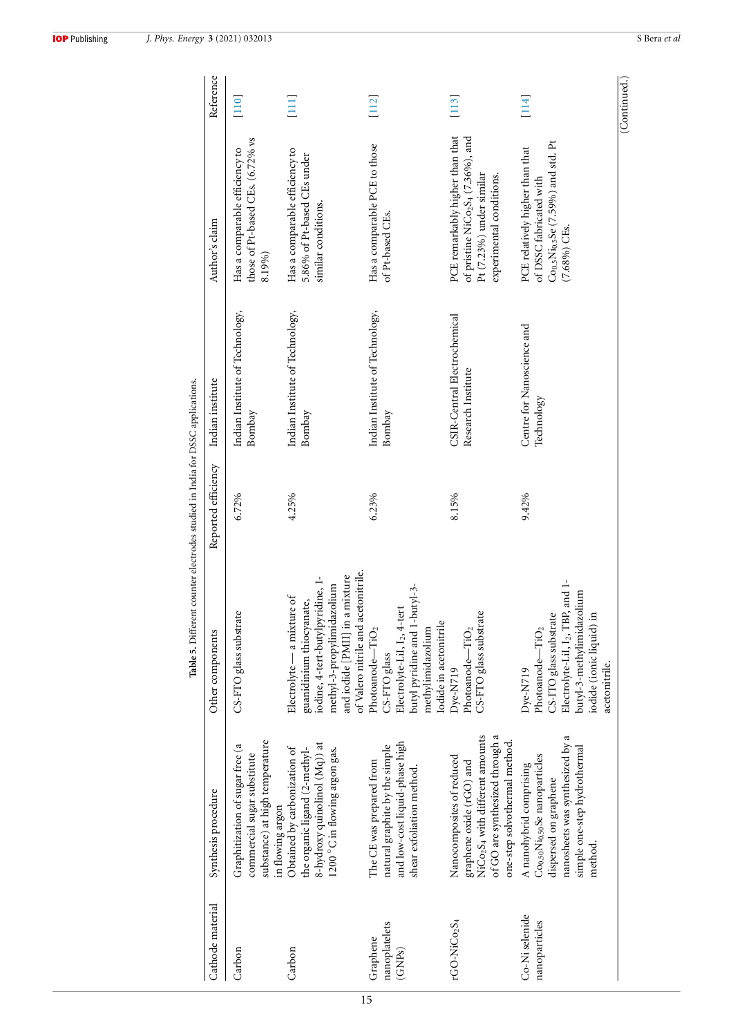| <b>IOP</b> Publishing |  |
|-----------------------|--|
|-----------------------|--|

| Cathode material                                 | Synthesis procedure                                                                                                                                                                      | Other components                                                                                                                                                                                  | Reported efficiency | Indian institute                                   | Author's claim                                                                                                                                       | Reference                                      |
|--------------------------------------------------|------------------------------------------------------------------------------------------------------------------------------------------------------------------------------------------|---------------------------------------------------------------------------------------------------------------------------------------------------------------------------------------------------|---------------------|----------------------------------------------------|------------------------------------------------------------------------------------------------------------------------------------------------------|------------------------------------------------|
| Carbon                                           | substance) at high temperature<br>Graphitization of sugar free (a<br>commercial sugar substitute<br>in flowing argon                                                                     | CS-FTO glass substrate                                                                                                                                                                            | 6.72%               | Indian Institute of Technology,<br>Bombay          | those of Pt-based CEs. (6.72% vs<br>Has a comparable efficiency to<br>8.19%)                                                                         | $[110]$                                        |
| Carbon                                           | 8-hydroxy quinolinol (Mq)) at<br>Obtained by carbonization of<br>the organic ligand (2-methyl-<br>$1200\,^{\circ}$ C in flowing argon gas.                                               | of Valero nitrile and acetonitrile.<br>and iodide [PMII] in a mixture<br>iodine, 4-tert-butylpyridine, 1-<br>methyl-3-propylimidazolium<br>Electrolyte - a mixture of<br>guanidinium thiocyanate, | 4.25%               | Indian Institute of Technology,<br>Bombay          | Has a comparable efficiency to<br>5.86% of Pt-based CEs under<br>similar conditions.                                                                 | $\left[\begin{matrix}111\1\end{matrix}\right]$ |
| nanoplatelets<br>Graphene<br>(GNP <sub>S</sub> ) | and low-cost liquid-phase high<br>natural graphite by the simple<br>The CE was prepared from<br>shear exfoliation method.                                                                | butyl pyridine and 1-butyl-3-<br>Electrolyte-LiI, I2, 4-tert<br>lodide in acetonitrile<br>Photoanode-TiO <sub>2</sub><br>methylimidazolium<br>CS-FTO glass                                        | 6.23%               | Indian Institute of Technology,<br>Bombay          | Has a comparable PCE to those<br>of Pt-based CEs.                                                                                                    | [112]                                          |
| $r$ GO-Ni $Co2S4$                                | NiCo <sub>2</sub> S <sub>4</sub> with different amounts<br>of GO are synthesized through a<br>one-step solvothermal method.<br>Nanocomposites of reduced<br>graphene oxide (rGO) and     | CS-FTO glass substrate<br>Photoanode-TiO <sub>2</sub><br>Dye-N719                                                                                                                                 | 8.15%               | CSIR-Central Electrochemical<br>Research Institute | PCE remarkably higher than that<br>of pristine NiCo <sub>2</sub> S <sub>4</sub> (7.36%), and<br>Pt (7.23%) under similar<br>experimental conditions. | $[113]$                                        |
| Co-Ni selenide<br>nanoparticles                  | nanosheets was synthesized by a<br>simple one-step hydrothermal<br>Co <sub>0.50</sub> Ni <sub>0.50</sub> Se nanoparticles<br>A nanohybrid comprising<br>dispersed on graphene<br>method. | Electrolyte-LiI, I2, TBP, and 1-<br>butyl-3-methylimidazolium<br>CS-ITO glass substrate<br>iodide (ionic liquid) ir<br>Photoanode-TiO <sub>2</sub><br>acetonitrile.<br>Dye-N719                   | 9.42%               | Centre for Nanoscience and<br>Technology           | $Co0.5Ni0.5Se (7.59%) and std. Pt$<br>PCE relatively higher than that<br>of DSSC fabricated with<br>$(7.68\%)$ CEs.                                  | $[114]$                                        |

15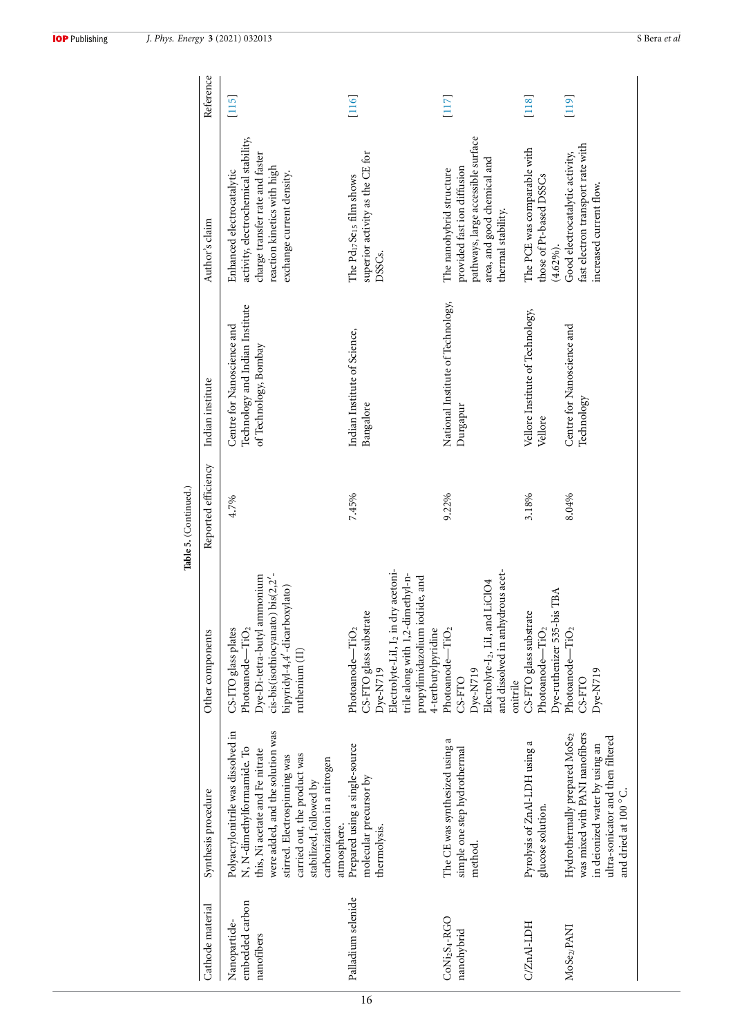|                                                                 |                                                                                                                                                                                                                                                                                  |                                                                                                                                                                                               | Table 5. (Continued.) |                                                                                        |                                                                                                                                                                  |           |
|-----------------------------------------------------------------|----------------------------------------------------------------------------------------------------------------------------------------------------------------------------------------------------------------------------------------------------------------------------------|-----------------------------------------------------------------------------------------------------------------------------------------------------------------------------------------------|-----------------------|----------------------------------------------------------------------------------------|------------------------------------------------------------------------------------------------------------------------------------------------------------------|-----------|
| Cathode material                                                | Synthesis procedure                                                                                                                                                                                                                                                              | Other components                                                                                                                                                                              | Reported efficiency   | Indian institute                                                                       | Author's claim                                                                                                                                                   | Reference |
| embedded carbon<br>Nanoparticle-<br>nanofibers                  | Polyacrylonitrile was dissolved in<br>were added, and the solution was<br>N, N-dimethylformamide. To<br>this, Ni acetate and Fe nitrate<br>carried out, the product was<br>stirred. Electrospinning was<br>carbonization in a nitrogen<br>stabilized, followed by<br>atmosphere. | cis-bis(isothiocyanato) bis(2,2'-<br>Dye-Di-tetra-butyl ammonium<br>bipyridyl-4,4'-dicarboxylato)<br>CS-ITO glass plates<br>Photoanode- $TiO2$<br>$\mathop{\mathrm{ruthenium}}\nolimits(\Pi)$ | 4.7%                  | Technology and Indian Institute<br>Centre for Nanoscience and<br>of Technology, Bombay | activity, electrochemical stability,<br>charge transfer rate and faster<br>reaction kinetics with high<br>Enhanced electrocatalytic<br>exchange current density. | $[115]$   |
| Palladium selenide                                              | Prepared using a single-source<br>molecular precursor by<br>thermolysis.                                                                                                                                                                                                         | Electrolyte-LiI, I2 in dry acetoni-<br>trile along with 1,2-dimethyl-n-<br>propylimidazolium iodide, and<br>CS-FTO glass substrate<br>Dye-N719<br>Photoanode- $TiO2$<br>4-tertbutylpyridine   | 7.45%                 | Indian Institute of Science,<br>Bangalore                                              | superior activity as the CE for<br>The Pd <sub>17</sub> Se <sub>15</sub> film shows<br>DSSCs.                                                                    | [116]     |
| $\mathrm{CoNi}_2\mathrm{S}_4\text{-}\mathrm{RGO}$<br>nanohybrid | The CE was synthesized using a<br>simple one step hydrothermal<br>method.                                                                                                                                                                                                        | and dissolved in anhydrous acet-<br>Electrolyte-I <sub>2</sub> , LiI, and LiClO4<br>Photoanode-TiO <sub>2</sub><br>Dye-N719<br>CS-FTO<br>onitrile                                             | 9.22%                 | National Institute of Technology,<br>Durgapur                                          | pathways, large accessible surface<br>area, and good chemical and<br>provided fast ion diffusion<br>The nanohybrid structure<br>thermal stability.               | $[117]$   |
| C/ZnAl-LDH                                                      | Pyrolysis of ZnAl-LDH using a<br>glucose solution.                                                                                                                                                                                                                               | Dye-ruthenizer 535-bis TBA<br>CS-FTO glass substrate<br>Photoanode-TiO <sub>2</sub>                                                                                                           | 3.18%                 | Vellore Institute of Technology,<br>Vellore                                            | The PCE was comparable with<br>those of Pt-based DSSCs<br>$(4.62\%)$ .                                                                                           | [118]     |
| MoSe <sub>2/</sub> PANI                                         | was mixed with PANI nanofibers<br>Hydrothermally prepared MoSe2<br>ultra-sonicator and then filtered<br>in deionized water by using an<br>and dried at 100 °C.                                                                                                                   | Photoanode- $TiO2$<br>$Dye-NT19$<br>CS-FTO                                                                                                                                                    | 8.04%                 | Centre for Nanoscience and<br>Technology                                               | fast electron transport rate with<br>Good electrocatalytic activity,<br>increased current flow.                                                                  | [119]     |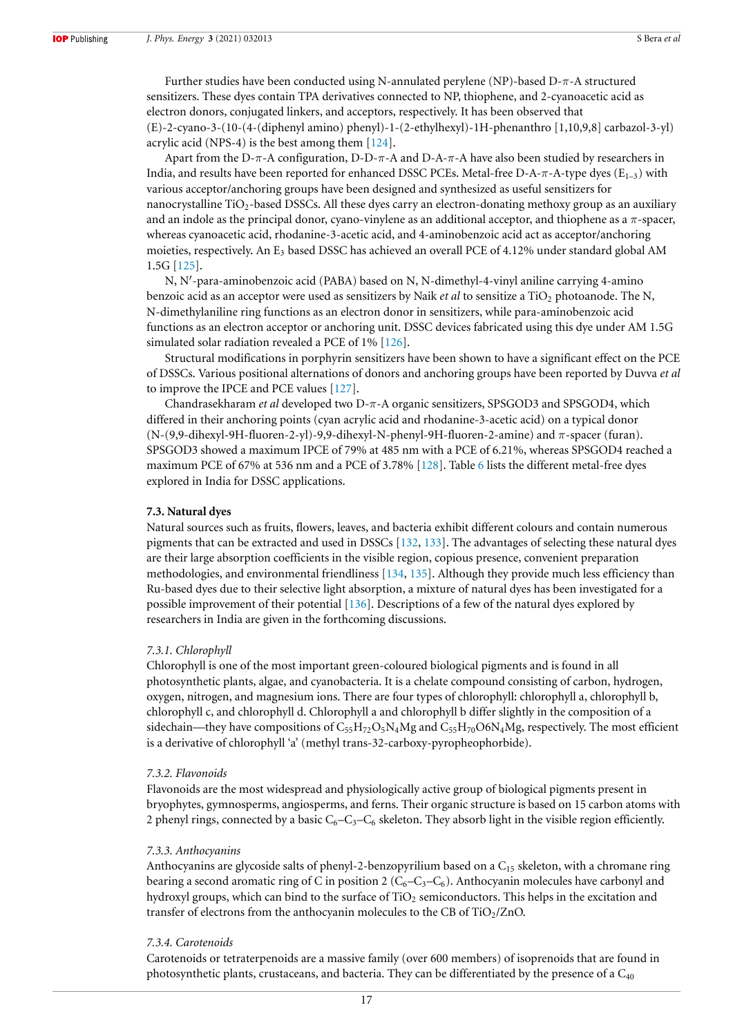Further studies have been conducted using N-annulated perylene (NP)-based D-π-A structured sensitizers. These dyes contain TPA derivatives connected to NP, thiophene, and 2-cyanoacetic acid as electron donors, conjugated linkers, and acceptors, respectively. It has been observed that (E)-2-cyano-3-(10-(4-(diphenyl amino) phenyl)-1-(2-ethylhexyl)-1H-phenanthro [1,10,9,8] carbazol-3-yl) acrylic acid (NPS-4) is the best among them [124].

Apart from the D- $\pi$ -A configuration, D-D- $\pi$ -A and D-A- $\pi$ -A have also been studied by researchers in India, and results have been reported for enhanced DSSC PCEs. Metal-free D-A- $\pi$ -A-type dyes (E<sub>1–3</sub>) with various acceptor/anchoring groups have been designed and synthesized as useful sensitizers for nanocrystalline TiO2-based DSSCs. All these dyes carry an electron-donating methoxy group as an auxiliary and an indole as the principal donor, cyano-vinylene as an additional acceptor, and thiophene as a  $\pi$ -spacer, whereas cyanoacetic acid, rhodanine-3-acetic acid, and 4-aminobenzoic acid act as acceptor/anchoring moieties, respectively. An E<sub>3</sub> based DSSC has achieved an overall PCE of 4.12% under standard global AM 1.5G [125].

N, N′ -para-aminobenzoic acid (PABA) based on N, N-dimethyl-4-vinyl aniline carrying 4-amino benzoic acid as an acceptor were used as sensitizers by Naik *et al* to sensitize a TiO<sub>2</sub> photoanode. The N, N-dimethylaniline ring functions as an electron donor in sensitizers, while para-aminobenzoic acid functions as an electron acceptor or anchoring unit. DSSC devices fabricated using this dye under AM 1.5G simulated solar radiation revealed a PCE of 1% [126].

Structural modifications in porphyrin sensitizers have been shown to have a significant effect on the PCE of DSSCs. Various positional alternations of donors and anchoring groups have been reported by Duvva *et al* to improve the IPCE and PCE values [127].

Chandrasekharam *et al* developed two D-π-A organic sensitizers, SPSGOD3 and SPSGOD4, which differed in their anchoring points (cyan acrylic acid and rhodanine-3-acetic acid) on a typical donor (N-(9,9-dihexyl-9H-fluoren-2-yl)-9,9-dihexyl-N-phenyl-9H-fluoren-2-amine) and π-spacer (furan). SPSGOD3 showed a maximum IPCE of 79% at 485 nm with a PCE of 6.21%, whereas SPSGOD4 reached a maximum PCE of 67% at 536 nm and a PCE of 3.78% [128]. Table 6 lists the different metal-free dyes explored in India for DSSC applications.

#### **7.3. Natural dyes**

Natural sources such as fruits, flowers, leaves, and bacteria exhibit different colours and contain numerous pigments that can be extracted and used in DSSCs [132, 133]. The advantages of selecting these natural dyes are their large absorption coefficients in the visible region, copious presence, convenient preparation methodologies, and environmental friendliness  $[134, 135]$ . Although they provide much less efficiency than Ru-based dyes due to their selective light absorption, a mixture of natural dyes has been investigated for a possible improvement of their potential [136]. Descriptions of a few of the natural dyes explored by researchers in India are given in the forthcoming discussions.

#### *7.3.1. Chlorophyll*

Chlorophyll is one of the most important green-coloured biological pigments and is found in all photosynthetic plants, algae, and cyanobacteria. It is a chelate compound consisting of carbon, hydrogen, oxygen, nitrogen, and magnesium ions. There are four types of chlorophyll: chlorophyll a, chlorophyll b, chlorophyll c, and chlorophyll d. Chlorophyll a and chlorophyll b differ slightly in the composition of a sidechain—they have compositions of  $C_{55}H_{72}O_5N_4Mg$  and  $C_{55}H_{70}O6N_4Mg$ , respectively. The most efficient is a derivative of chlorophyll 'a' (methyl trans-32-carboxy-pyropheophorbide).

#### *7.3.2. Flavonoids*

Flavonoids are the most widespread and physiologically active group of biological pigments present in bryophytes, gymnosperms, angiosperms, and ferns. Their organic structure is based on 15 carbon atoms with 2 phenyl rings, connected by a basic  $C_6 - C_3 - C_6$  skeleton. They absorb light in the visible region efficiently.

#### *7.3.3. Anthocyanins*

Anthocyanins are glycoside salts of phenyl-2-benzopyrilium based on a  $C_{15}$  skeleton, with a chromane ring bearing a second aromatic ring of C in position 2 ( $C_6-C_3-C_6$ ). Anthocyanin molecules have carbonyl and hydroxyl groups, which can bind to the surface of TiO<sub>2</sub> semiconductors. This helps in the excitation and transfer of electrons from the anthocyanin molecules to the CB of  $TiO<sub>2</sub>/ZnO$ .

#### *7.3.4. Carotenoids*

Carotenoids or tetraterpenoids are a massive family (over 600 members) of isoprenoids that are found in photosynthetic plants, crustaceans, and bacteria. They can be differentiated by the presence of a  $C_{40}$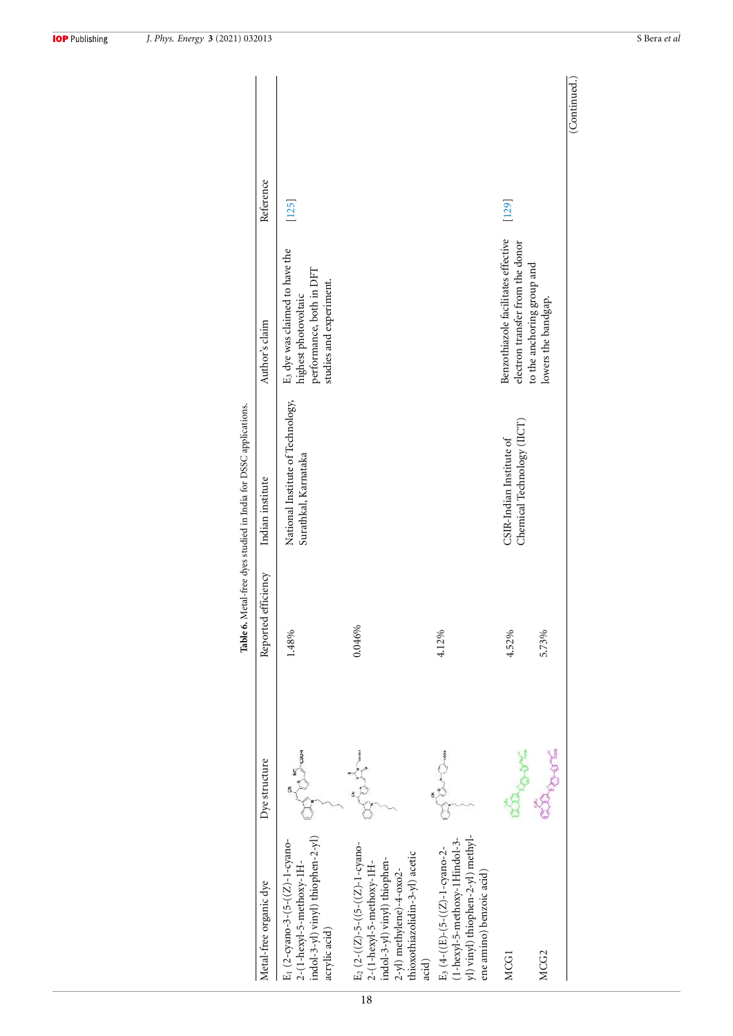| Metal-free organic dye                                                                                                                                                                   | Dye structure                                                     | Reported efficiency | Indian institute                                          | Author's claim                                                                                                | Reference |
|------------------------------------------------------------------------------------------------------------------------------------------------------------------------------------------|-------------------------------------------------------------------|---------------------|-----------------------------------------------------------|---------------------------------------------------------------------------------------------------------------|-----------|
| indol-3-yl) vinyl) thiophen-2-yl)<br>E <sub>1</sub> (2-cyano-3-(5-((Z)-1-cyano-<br>2-(1-hexyl-5-methoxy-1H-<br>acrylic acid)                                                             | $\begin{matrix} 1 & 1 & 1 \\ 1 & 1 & 1 \\ 1 & 1 & 1 \end{matrix}$ | 1.48%               | National Institute of Technology,<br>Surathkal, Karnataka | E3 dye was claimed to have the<br>highest photovoltaic<br>performance, both in DFT<br>studies and experiment. | [125]     |
| E <sub>2</sub> $(2-(Z) - 5-((5-((Z) - 1-cyano-$<br>thioxothiazolidin-3-yl) acetic<br>indol-3-yl) vinyl) thiophen-<br>2-(1-hexyl-5-methoxy-1H-<br>$2-yl)$ methylene)-4- $\alpha$ xo $2$ - | BROOM                                                             | 0.046%              |                                                           |                                                                                                               |           |
| yl) vinyl) thiophen-2-yl) methyl-<br>$(1-hexyl-5-mehoxy-1Hintd0-3-$<br>E <sub>3</sub> (4-((E)-(5-((Z)-1-cyano-2-<br>ene amino) benzoic acid)<br>acid)                                    | $\sum_{i=1}^{n}$                                                  | 4.12%               |                                                           |                                                                                                               |           |
| MCG1                                                                                                                                                                                     |                                                                   | 4.52%               | Chemical Technology (IICT)<br>CSIR-Indian Institute of    | Benzothiazole facilitates effective<br>electron transfer from the donor                                       | [129]     |
| MCG2                                                                                                                                                                                     |                                                                   | 5.73%               |                                                           | to the anchoring group and<br>lowers the bandgap.                                                             |           |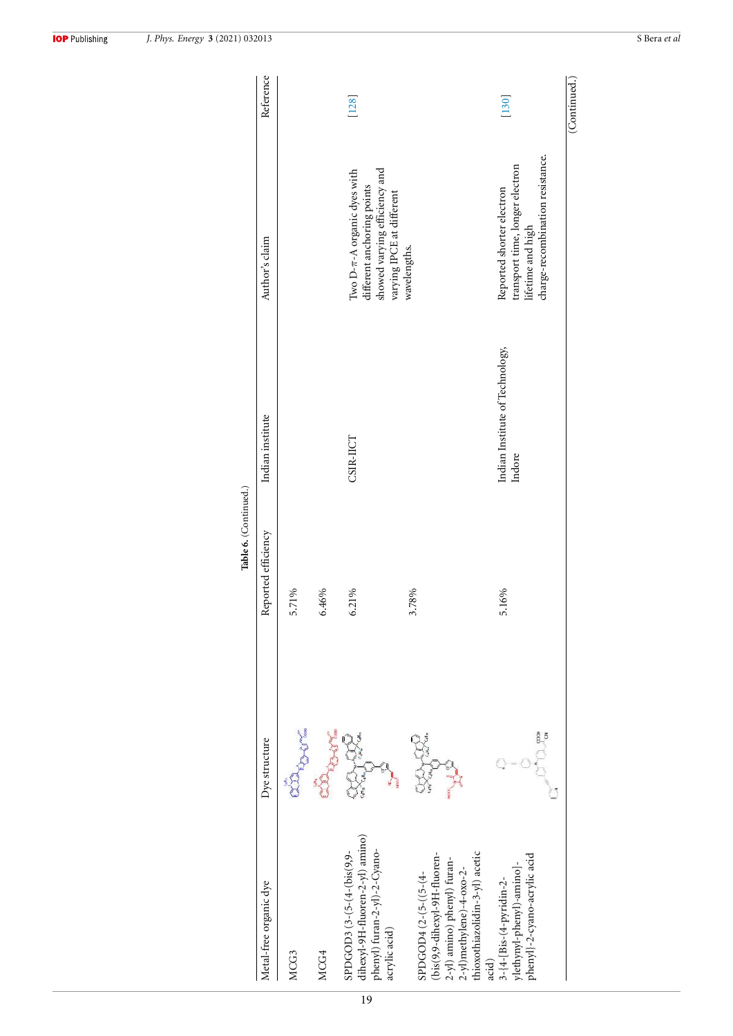|                                                                                                                                                   |               | Table 6. (Continued.) |                                           |                                                                                                                             |              |
|---------------------------------------------------------------------------------------------------------------------------------------------------|---------------|-----------------------|-------------------------------------------|-----------------------------------------------------------------------------------------------------------------------------|--------------|
| Metal-free organic dye                                                                                                                            | Dye structure | Reported efficiency   | Indian institute                          | Author's claim                                                                                                              | Reference    |
| MCG3                                                                                                                                              |               | 5.71%                 |                                           |                                                                                                                             |              |
| MCG4                                                                                                                                              |               | 6.46%                 |                                           |                                                                                                                             |              |
| dihexyl-9H-fluoren-2-yl) amino)<br>phenyl) furan-2-yl)-2-Cyano-<br>SPDGOD3 (3-(5-(4-(bis(9,9-<br>acrylic acid)                                    |               | 6.21%                 | CSIR-IICT                                 | showed varying efficiency and<br>Two $D-\pi-A$ organic dyes with<br>different anchoring points<br>varying IPCE at different | $[128]$      |
| hioxothiazolidin-3-yl) acetic<br>(bis(9,9-dihexyl-9H-fluoren-<br>2-yl) amino) phenyl) furan-<br>2-yl)methylene)-4-oxo-2-<br>SPDGOD4 (2-(5-((5-(4- |               | 3.78%                 |                                           | wavelengths.                                                                                                                |              |
| phenyl}-2-cyano-acrylic acid<br>dethynyl-phenyl)-amino]-<br>3-{4-[Bis-(4-pyridin-2-<br>acid)                                                      |               | 5.16%                 | Indian Institute of Technology,<br>Indore | charge-recombination resistance.<br>transport time, longer electron<br>Reported shorter electron<br>lifetime and high       | $[130]$      |
|                                                                                                                                                   |               |                       |                                           |                                                                                                                             | (Continued.) |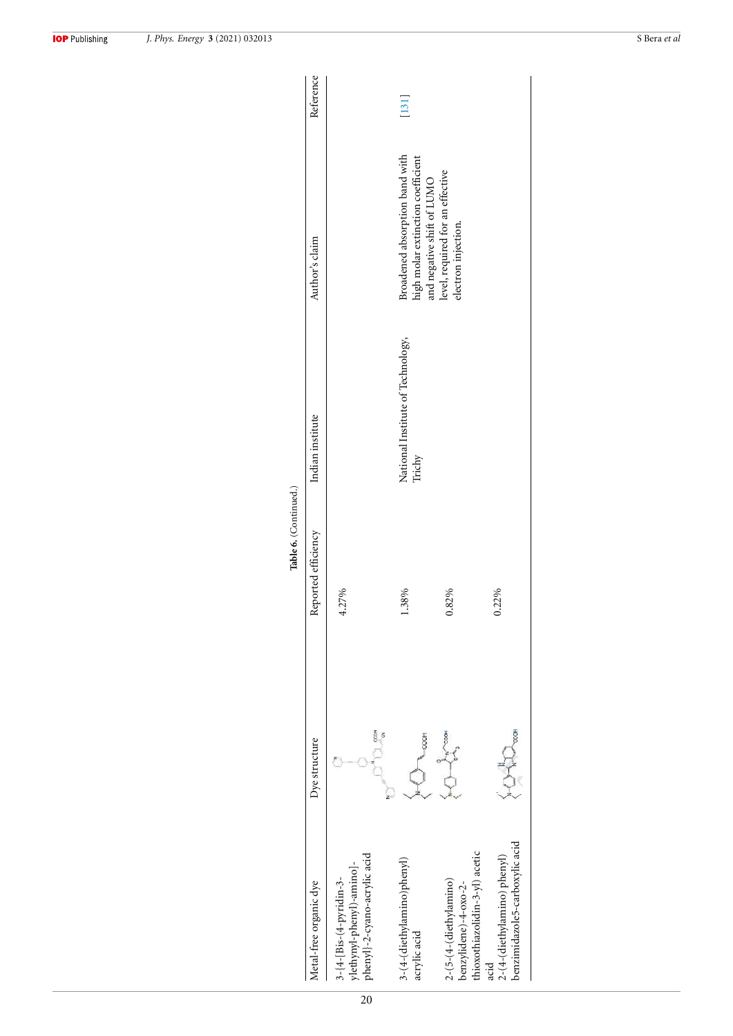|                                                                                      |                           | Table 6. (Continued.) |                                             |                                                                                                   |           |
|--------------------------------------------------------------------------------------|---------------------------|-----------------------|---------------------------------------------|---------------------------------------------------------------------------------------------------|-----------|
| Metal-free organic dye                                                               | Dye structure             | Reported efficiency   | Indian institute                            | Author's claim                                                                                    | Reference |
| phenyl}-2-cyano-acrylic acid<br>ylethynyl-phenyl)-amino]-<br>3-{4-[Bis-(4-pyridin-3- | cool                      | 4.27%                 |                                             |                                                                                                   |           |
| 3-(4-(diethylamino)phenyl)<br>acrylic acid                                           | -000H                     | 1.38%                 | National Institute of Technology,<br>Trichy | Broadened absorption band with<br>high molar extinction coefficient<br>and negative shift of LUMO | $[131]$   |
| thioxothiazolidin-3-yl) acetic<br>2-(5-(4-(diethylamino)<br>benzylidene)-4-oxo-2-    | $\frac{1}{\sqrt{2}}$<br>Ò | 0.82%                 |                                             | level, required for an effective<br>electron injection.                                           |           |
| benzimidazole5-carboxylic acid<br>2-(4-(diethylamino) phenyl)<br>acid                |                           | 0.22%                 |                                             |                                                                                                   |           |

**IOP** Publishing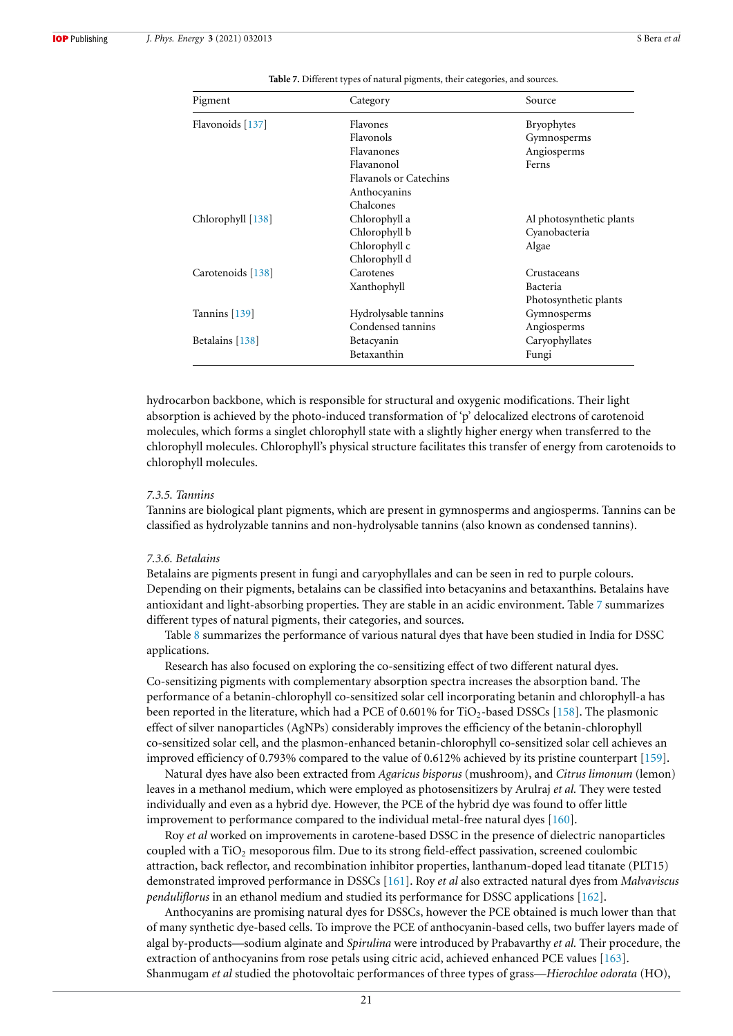| Pigment           | Category                      | Source                   |
|-------------------|-------------------------------|--------------------------|
| Flavonoids [137]  | Flavones                      | <b>Bryophytes</b>        |
|                   | Flavonols                     | Gymnosperms              |
|                   | Flavanones                    | Angiosperms              |
|                   | Flavanonol                    | Ferns                    |
|                   | <b>Flavanols or Catechins</b> |                          |
|                   | Anthocyanins                  |                          |
|                   | Chalcones                     |                          |
| Chlorophyll [138] | Chlorophyll a                 | Al photosynthetic plants |
|                   | Chlorophyll b                 | Cyanobacteria            |
|                   | Chlorophyll c                 | Algae                    |
|                   | Chlorophyll d                 |                          |
| Carotenoids [138] | Carotenes                     | Crustaceans              |
|                   | Xanthophyll                   | Bacteria                 |
|                   |                               | Photosynthetic plants    |
| Tannins $[139]$   | Hydrolysable tannins          | Gymnosperms              |
|                   | Condensed tannins             | Angiosperms              |
| Betalains [138]   | Betacyanin                    | Caryophyllates           |
|                   | Betaxanthin                   | Fungi                    |

**Table 7.** Different types of natural pigments, their categories, and sources.

hydrocarbon backbone, which is responsible for structural and oxygenic modifications. Their light absorption is achieved by the photo-induced transformation of 'p' delocalized electrons of carotenoid molecules, which forms a singlet chlorophyll state with a slightly higher energy when transferred to the chlorophyll molecules. Chlorophyll's physical structure facilitates this transfer of energy from carotenoids to chlorophyll molecules.

#### *7.3.5. Tannins*

Tannins are biological plant pigments, which are present in gymnosperms and angiosperms. Tannins can be classified as hydrolyzable tannins and non-hydrolysable tannins (also known as condensed tannins).

#### *7.3.6. Betalains*

Betalains are pigments present in fungi and caryophyllales and can be seen in red to purple colours. Depending on their pigments, betalains can be classified into betacyanins and betaxanthins. Betalains have antioxidant and light-absorbing properties. They are stable in an acidic environment. Table 7 summarizes different types of natural pigments, their categories, and sources.

Table 8 summarizes the performance of various natural dyes that have been studied in India for DSSC applications.

Research has also focused on exploring the co-sensitizing effect of two different natural dyes. Co-sensitizing pigments with complementary absorption spectra increases the absorption band. The performance of a betanin-chlorophyll co-sensitized solar cell incorporating betanin and chlorophyll-a has been reported in the literature, which had a PCE of 0.601% for TiO<sub>2</sub>-based DSSCs [158]. The plasmonic effect of silver nanoparticles (AgNPs) considerably improves the efficiency of the betanin-chlorophyll co-sensitized solar cell, and the plasmon-enhanced betanin-chlorophyll co-sensitized solar cell achieves an improved efficiency of 0.793% compared to the value of 0.612% achieved by its pristine counterpart [159].

Natural dyes have also been extracted from *Agaricus bisporus* (mushroom), and *Citrus limonum* (lemon) leaves in a methanol medium, which were employed as photosensitizers by Arulraj *et al.* They were tested individually and even as a hybrid dye. However, the PCE of the hybrid dye was found to offer little improvement to performance compared to the individual metal-free natural dyes [160].

Roy *et al* worked on improvements in carotene-based DSSC in the presence of dielectric nanoparticles coupled with a TiO<sub>2</sub> mesoporous film. Due to its strong field-effect passivation, screened coulombic attraction, back reflector, and recombination inhibitor properties, lanthanum-doped lead titanate (PLT15) demonstrated improved performance in DSSCs [161]. Roy *et al* also extracted natural dyes from *Malvaviscus penduliflorus* in an ethanol medium and studied its performance for DSSC applications [162].

Anthocyanins are promising natural dyes for DSSCs, however the PCE obtained is much lower than that of many synthetic dye-based cells. To improve the PCE of anthocyanin-based cells, two buffer layers made of algal by-products—sodium alginate and *Spirulina* were introduced by Prabavarthy *et al.* Their procedure, the extraction of anthocyanins from rose petals using citric acid, achieved enhanced PCE values [163]. Shanmugam *et al* studied the photovoltaic performances of three types of grass—*Hierochloe odorata* (HO),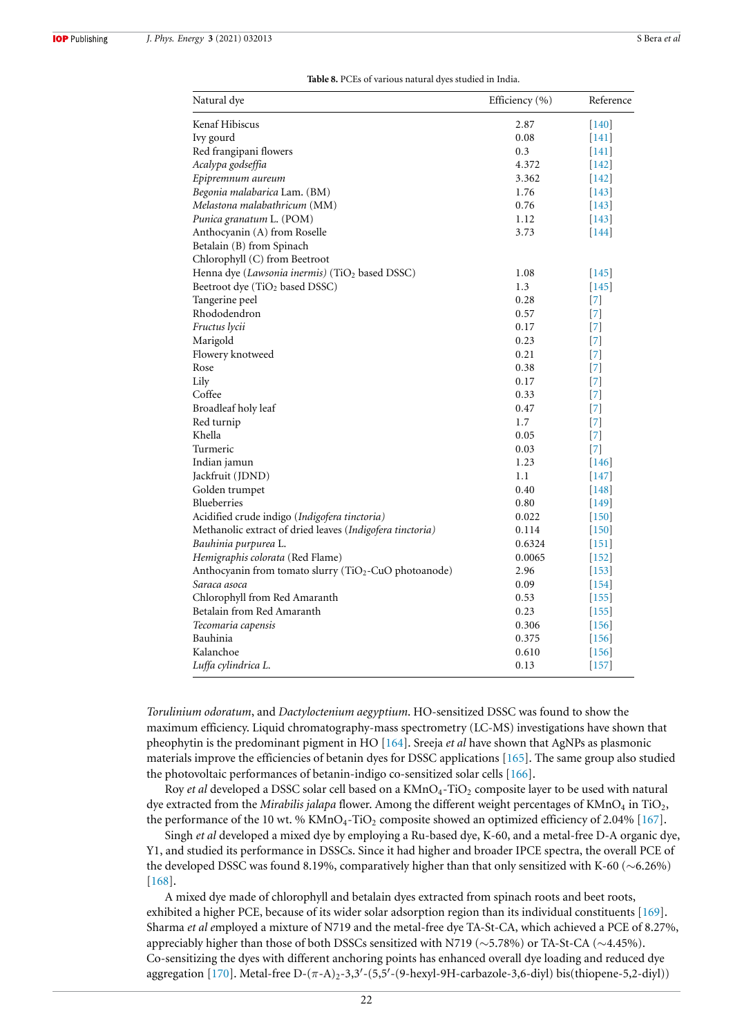| Natural dye                                                | Efficiency (%) | Reference         |
|------------------------------------------------------------|----------------|-------------------|
| Kenaf Hibiscus                                             | 2.87           | $\vert$ 140       |
| Ivy gourd                                                  | 0.08           | $[141]$           |
| Red frangipani flowers                                     | 0.3            | $[141]$           |
| Acalypa godseffia                                          | 4.372          | 142               |
| Epipremnum aureum                                          | 3.362          | $[142]$           |
| Begonia malabarica Lam. (BM)                               | 1.76           | 143               |
| Melastona malabathricum (MM)                               | 0.76           | $\vert$ 143       |
| Punica granatum L. (POM)                                   | 1.12           | $[143]$           |
| Anthocyanin (A) from Roselle                               | 3.73           | $[144]$           |
| Betalain (B) from Spinach                                  |                |                   |
| Chlorophyll (C) from Beetroot                              |                |                   |
| Henna dye (Lawsonia inermis) (TiO <sub>2</sub> based DSSC) | 1.08           | 145               |
| Beetroot dye (TiO <sub>2</sub> based DSSC)                 | 1.3            | $\vert$ 145       |
| Tangerine peel                                             | 0.28           | [7]               |
| Rhododendron                                               | 0.57           | $\vert 7 \vert$   |
| Fructus lycii                                              | 0.17           | $\vert 7 \vert$   |
| Marigold                                                   | 0.23           | 171               |
| Flowery knotweed                                           | 0.21           | [7]               |
| Rose                                                       | 0.38           | $[7]$             |
| Lily                                                       | 0.17           | [7]               |
| Coffee                                                     | 0.33           | [7]               |
| Broadleaf holy leaf                                        | 0.47           | $\vert 7 \vert$   |
| Red turnip                                                 | 1.7            | $\vert 7 \vert$   |
| Khella                                                     | 0.05           | $[7]$             |
| Turmeric                                                   | 0.03           | $[7]$             |
| Indian jamun                                               | 1.23           | 146               |
| Jackfruit (JDND)                                           | 1.1            | $[147]$           |
| Golden trumpet                                             | 0.40           | 148               |
| Blueberries                                                | 0.80           | $[149]$           |
| Acidified crude indigo (Indigofera tinctoria)              | 0.022          | $[150]$           |
| Methanolic extract of dried leaves (Indigofera tinctoria)  | 0.114          | $[150]$           |
| Bauhinia purpurea L.                                       | 0.6324         | $\vert 151 \vert$ |
| Hemigraphis colorata (Red Flame)                           | 0.0065         | $[152]$           |
| Anthocyanin from tomato slurry (TiO2-CuO photoanode)       | 2.96           | $[153]$           |
| Saraca asoca                                               | 0.09           | 154               |
| Chlorophyll from Red Amaranth                              | 0.53           | $[155]$           |
| Betalain from Red Amaranth                                 | 0.23           | $[155]$           |
| Tecomaria capensis                                         | 0.306          | [156]             |
| Bauhinia                                                   | 0.375          | $[156]$           |
| Kalanchoe                                                  | 0.610          | $[156]$           |
| Luffa cylindrica L.                                        | 0.13           | $[157]$           |

*Torulinium odoratum*, and *Dactyloctenium aegyptium*. HO-sensitized DSSC was found to show the maximum efficiency. Liquid chromatography-mass spectrometry (LC-MS) investigations have shown that pheophytin is the predominant pigment in HO [164]. Sreeja *et al* have shown that AgNPs as plasmonic materials improve the efficiencies of betanin dyes for DSSC applications [165]. The same group also studied the photovoltaic performances of betanin-indigo co-sensitized solar cells [166].

Roy *et al* developed a DSSC solar cell based on a KMnO<sub>4</sub>-TiO<sub>2</sub> composite layer to be used with natural dye extracted from the *Mirabilis jalapa* flower. Among the different weight percentages of  $KMnO<sub>4</sub>$  in TiO<sub>2</sub>, the performance of the 10 wt. %  $KMnO<sub>4</sub>-TiO<sub>2</sub>$  composite showed an optimized efficiency of 2.04% [167].

Singh *et al* developed a mixed dye by employing a Ru-based dye, K-60, and a metal-free D-A organic dye, Y1, and studied its performance in DSSCs. Since it had higher and broader IPCE spectra, the overall PCE of the developed DSSC was found 8.19%, comparatively higher than that only sensitized with K-60 (∼6.26%) [168].

A mixed dye made of chlorophyll and betalain dyes extracted from spinach roots and beet roots, exhibited a higher PCE, because of its wider solar adsorption region than its individual constituents [169]. Sharma *et al e*mployed a mixture of N719 and the metal-free dye TA-St-CA, which achieved a PCE of 8.27%, appreciably higher than those of both DSSCs sensitized with N719 (∼5.78%) or TA-St-CA (∼4.45%). Co-sensitizing the dyes with different anchoring points has enhanced overall dye loading and reduced dye aggregation [170]. Metal-free D-(π-A)<sub>2</sub>-3,3'-(5,5'-(9-hexyl-9H-carbazole-3,6-diyl) bis(thiopene-5,2-diyl))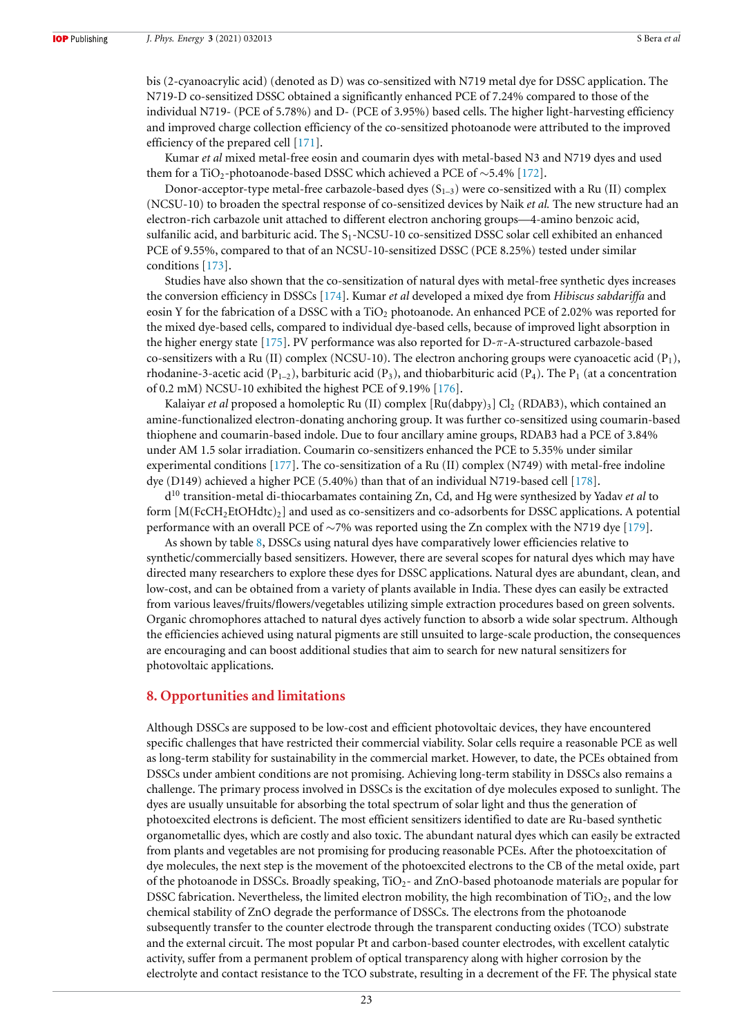bis (2-cyanoacrylic acid) (denoted as D) was co-sensitized with N719 metal dye for DSSC application. The N719-D co-sensitized DSSC obtained a significantly enhanced PCE of 7.24% compared to those of the individual N719- (PCE of 5.78%) and D- (PCE of 3.95%) based cells. The higher light-harvesting efficiency and improved charge collection efficiency of the co-sensitized photoanode were attributed to the improved efficiency of the prepared cell [171].

Kumar *et al* mixed metal-free eosin and coumarin dyes with metal-based N3 and N719 dyes and used them for a TiO<sub>2</sub>-photoanode-based DSSC which achieved a PCE of ~5.4% [172].

Donor-acceptor-type metal-free carbazole-based dyes  $(S_{1-3})$  were co-sensitized with a Ru (II) complex (NCSU-10) to broaden the spectral response of co-sensitized devices by Naik *et al.* The new structure had an electron-rich carbazole unit attached to different electron anchoring groups—4-amino benzoic acid, sulfanilic acid, and barbituric acid. The S<sub>1</sub>-NCSU-10 co-sensitized DSSC solar cell exhibited an enhanced PCE of 9.55%, compared to that of an NCSU-10-sensitized DSSC (PCE 8.25%) tested under similar conditions [173].

Studies have also shown that the co-sensitization of natural dyes with metal-free synthetic dyes increases the conversion efficiency in DSSCs [174]. Kumar *et al* developed a mixed dye from *Hibiscus sabdariffa* and eosin Y for the fabrication of a DSSC with a  $TiO<sub>2</sub>$  photoanode. An enhanced PCE of 2.02% was reported for the mixed dye-based cells, compared to individual dye-based cells, because of improved light absorption in the higher energy state [175]. PV performance was also reported for D-π-A-structured carbazole-based co-sensitizers with a Ru (II) complex (NCSU-10). The electron anchoring groups were cyanoacetic acid  $(P_1)$ , rhodanine-3-acetic acid (P<sub>1–2</sub>), barbituric acid (P<sub>3</sub>), and thiobarbituric acid (P<sub>4</sub>). The P<sub>1</sub> (at a concentration of 0.2 mM) NCSU-10 exhibited the highest PCE of 9.19% [176].

Kalaiyar *et al* proposed a homoleptic Ru (II) complex [Ru(dabpy)<sub>3</sub>] Cl<sub>2</sub> (RDAB3), which contained an amine-functionalized electron-donating anchoring group. It was further co-sensitized using coumarin-based thiophene and coumarin-based indole. Due to four ancillary amine groups, RDAB3 had a PCE of 3.84% under AM 1.5 solar irradiation. Coumarin co-sensitizers enhanced the PCE to 5.35% under similar experimental conditions [177]. The co-sensitization of a Ru (II) complex (N749) with metal-free indoline dye (D149) achieved a higher PCE (5.40%) than that of an individual N719-based cell [178].

d <sup>10</sup> transition-metal di-thiocarbamates containing Zn, Cd, and Hg were synthesized by Yadav *et al* to form  $[M(FcCH<sub>2</sub>EtOHdtc)<sub>2</sub>]$  and used as co-sensitizers and co-adsorbents for DSSC applications. A potential performance with an overall PCE of ∼7% was reported using the Zn complex with the N719 dye [179].

As shown by table 8, DSSCs using natural dyes have comparatively lower efficiencies relative to synthetic/commercially based sensitizers. However, there are several scopes for natural dyes which may have directed many researchers to explore these dyes for DSSC applications. Natural dyes are abundant, clean, and low-cost, and can be obtained from a variety of plants available in India. These dyes can easily be extracted from various leaves/fruits/flowers/vegetables utilizing simple extraction procedures based on green solvents. Organic chromophores attached to natural dyes actively function to absorb a wide solar spectrum. Although the efficiencies achieved using natural pigments are still unsuited to large-scale production, the consequences are encouraging and can boost additional studies that aim to search for new natural sensitizers for photovoltaic applications.

# **8. Opportunities and limitations**

Although DSSCs are supposed to be low-cost and efficient photovoltaic devices, they have encountered specific challenges that have restricted their commercial viability. Solar cells require a reasonable PCE as well as long-term stability for sustainability in the commercial market. However, to date, the PCEs obtained from DSSCs under ambient conditions are not promising. Achieving long-term stability in DSSCs also remains a challenge. The primary process involved in DSSCs is the excitation of dye molecules exposed to sunlight. The dyes are usually unsuitable for absorbing the total spectrum of solar light and thus the generation of photoexcited electrons is deficient. The most efficient sensitizers identified to date are Ru-based synthetic organometallic dyes, which are costly and also toxic. The abundant natural dyes which can easily be extracted from plants and vegetables are not promising for producing reasonable PCEs. After the photoexcitation of dye molecules, the next step is the movement of the photoexcited electrons to the CB of the metal oxide, part of the photoanode in DSSCs. Broadly speaking,  $TiO<sub>2</sub>$ - and ZnO-based photoanode materials are popular for DSSC fabrication. Nevertheless, the limited electron mobility, the high recombination of  $TiO<sub>2</sub>$ , and the low chemical stability of ZnO degrade the performance of DSSCs. The electrons from the photoanode subsequently transfer to the counter electrode through the transparent conducting oxides (TCO) substrate and the external circuit. The most popular Pt and carbon-based counter electrodes, with excellent catalytic activity, suffer from a permanent problem of optical transparency along with higher corrosion by the electrolyte and contact resistance to the TCO substrate, resulting in a decrement of the FF. The physical state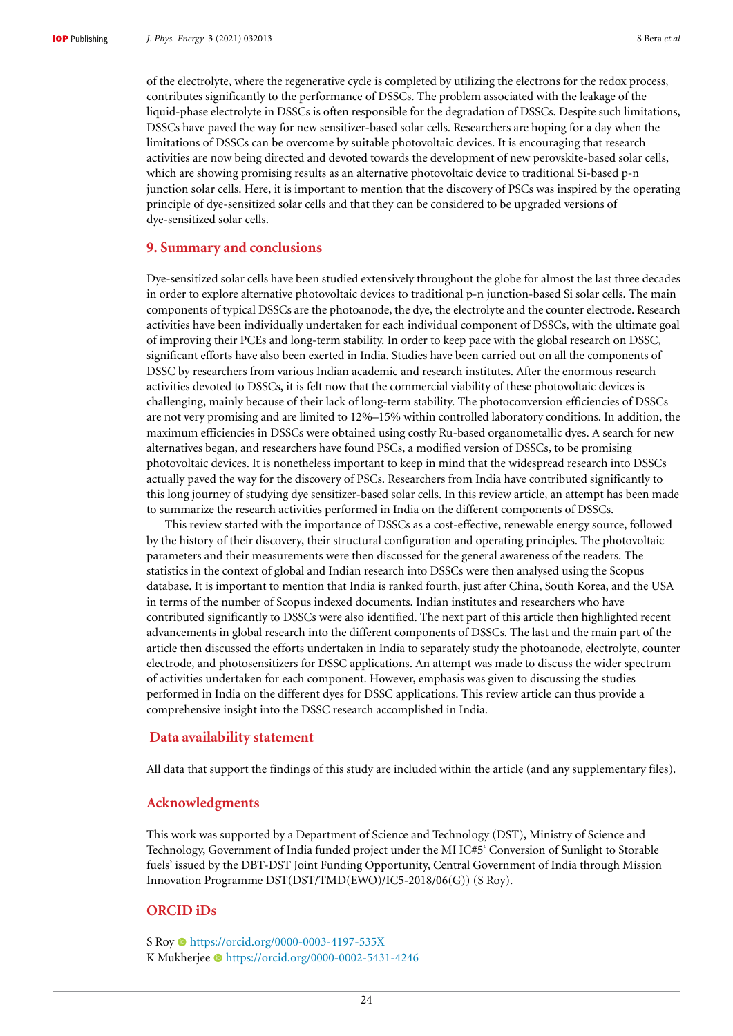of the electrolyte, where the regenerative cycle is completed by utilizing the electrons for the redox process, contributes significantly to the performance of DSSCs. The problem associated with the leakage of the liquid-phase electrolyte in DSSCs is often responsible for the degradation of DSSCs. Despite such limitations, DSSCs have paved the way for new sensitizer-based solar cells. Researchers are hoping for a day when the limitations of DSSCs can be overcome by suitable photovoltaic devices. It is encouraging that research activities are now being directed and devoted towards the development of new perovskite-based solar cells, which are showing promising results as an alternative photovoltaic device to traditional Si-based p-n junction solar cells. Here, it is important to mention that the discovery of PSCs was inspired by the operating principle of dye-sensitized solar cells and that they can be considered to be upgraded versions of dye-sensitized solar cells.

# **9. Summary and conclusions**

Dye-sensitized solar cells have been studied extensively throughout the globe for almost the last three decades in order to explore alternative photovoltaic devices to traditional p-n junction-based Si solar cells. The main components of typical DSSCs are the photoanode, the dye, the electrolyte and the counter electrode. Research activities have been individually undertaken for each individual component of DSSCs, with the ultimate goal of improving their PCEs and long-term stability. In order to keep pace with the global research on DSSC, significant efforts have also been exerted in India. Studies have been carried out on all the components of DSSC by researchers from various Indian academic and research institutes. After the enormous research activities devoted to DSSCs, it is felt now that the commercial viability of these photovoltaic devices is challenging, mainly because of their lack of long-term stability. The photoconversion efficiencies of DSSCs are not very promising and are limited to 12%–15% within controlled laboratory conditions. In addition, the maximum efficiencies in DSSCs were obtained using costly Ru-based organometallic dyes. A search for new alternatives began, and researchers have found PSCs, a modified version of DSSCs, to be promising photovoltaic devices. It is nonetheless important to keep in mind that the widespread research into DSSCs actually paved the way for the discovery of PSCs. Researchers from India have contributed significantly to this long journey of studying dye sensitizer-based solar cells. In this review article, an attempt has been made to summarize the research activities performed in India on the different components of DSSCs.

This review started with the importance of DSSCs as a cost-effective, renewable energy source, followed by the history of their discovery, their structural configuration and operating principles. The photovoltaic parameters and their measurements were then discussed for the general awareness of the readers. The statistics in the context of global and Indian research into DSSCs were then analysed using the Scopus database. It is important to mention that India is ranked fourth, just after China, South Korea, and the USA in terms of the number of Scopus indexed documents. Indian institutes and researchers who have contributed significantly to DSSCs were also identified. The next part of this article then highlighted recent advancements in global research into the different components of DSSCs. The last and the main part of the article then discussed the efforts undertaken in India to separately study the photoanode, electrolyte, counter electrode, and photosensitizers for DSSC applications. An attempt was made to discuss the wider spectrum of activities undertaken for each component. However, emphasis was given to discussing the studies performed in India on the different dyes for DSSC applications. This review article can thus provide a comprehensive insight into the DSSC research accomplished in India.

#### **Data availability statement**

All data that support the findings of this study are included within the article (and any supplementary files).

# **Acknowledgments**

This work was supported by a Department of Science and Technology (DST), Ministry of Science and Technology, Government of India funded project under the MI IC#5' Conversion of Sunlight to Storable fuels' issued by the DBT-DST Joint Funding Opportunity, Central Government of India through Mission Innovation Programme DST(DST/TMD(EWO)/IC5-2018/06(G)) (S Roy).

# **ORCID iDs**

S Roy https://orcid.org/0000-0003-4197-535X K Mukherjee https://orcid.org/0000-0002-5431-4246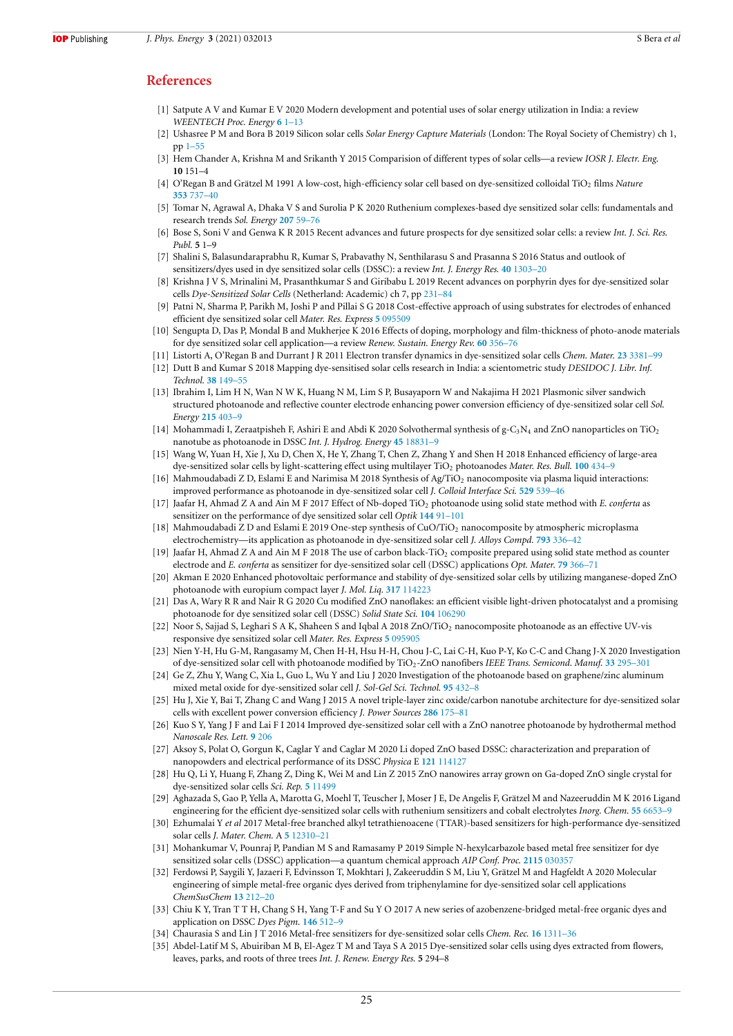# **References**

- [1] Satpute A V and Kumar E V 2020 Modern development and potential uses of solar energy utilization in India: a review *WEENTECH Proc. Energy* **6** 1–13
- [2] Ushasree P M and Bora B 2019 Silicon solar cells *Solar Energy Capture Materials* (London: The Royal Society of Chemistry) ch 1, pp 1–55
- [3] Hem Chander A, Krishna M and Srikanth Y 2015 Comparision of different types of solar cells—a review *IOSR J. Electr. Eng.* **10** 151–4
- [4] O'Regan B and Grätzel M 1991 A low-cost, high-efficiency solar cell based on dye-sensitized colloidal TiO<sup>2</sup> films *Nature* **353** 737–40
- [5] Tomar N, Agrawal A, Dhaka V S and Surolia P K 2020 Ruthenium complexes-based dye sensitized solar cells: fundamentals and research trends *Sol. Energy* **207** 59–76
- [6] Bose S, Soni V and Genwa K R 2015 Recent advances and future prospects for dye sensitized solar cells: a review *Int. J. Sci. Res. Publ.* **5** 1–9
- [7] Shalini S, Balasundaraprabhu R, Kumar S, Prabavathy N, Senthilarasu S and Prasanna S 2016 Status and outlook of sensitizers/dyes used in dye sensitized solar cells (DSSC): a review *Int. J. Energy Res.* **40** 1303–20
- [8] Krishna J V S, Mrinalini M, Prasanthkumar S and Giribabu L 2019 Recent advances on porphyrin dyes for dye-sensitized solar cells *Dye-Sensitized Solar Cells* (Netherland: Academic) ch 7, pp 231–84
- [9] Patni N, Sharma P, Parikh M, Joshi P and Pillai S G 2018 Cost-effective approach of using substrates for electrodes of enhanced efficient dye sensitized solar cell *Mater. Res. Express* **5** 095509
- [10] Sengupta D, Das P, Mondal B and Mukherjee K 2016 Effects of doping, morphology and film-thickness of photo-anode materials for dye sensitized solar cell application—a review *Renew. Sustain. Energy Rev.* **60** 356–76
- [11] Listorti A, O'Regan B and Durrant J R 2011 Electron transfer dynamics in dye-sensitized solar cells *Chem. Mater.* **23** 3381–99
- [12] Dutt B and Kumar S 2018 Mapping dye-sensitised solar cells research in India: a scientometric study *DESIDOC J. Libr. Inf. Technol.* **38** 149–55
- [13] Ibrahim I, Lim H N, Wan N W K, Huang N M, Lim S P, Busayaporn W and Nakajima H 2021 Plasmonic silver sandwich structured photoanode and reflective counter electrode enhancing power conversion efficiency of dye-sensitized solar cell *Sol. Energy* **215** 403–9
- [14] Mohammadi I, Zeraatpisheh F, Ashiri E and Abdi K 2020 Solvothermal synthesis of  $g-C_3N_4$  and ZnO nanoparticles on TiO<sub>2</sub> nanotube as photoanode in DSSC *Int. J. Hydrog. Energy* **45** 18831–9
- [15] Wang W, Yuan H, Xie J, Xu D, Chen X, He Y, Zhang T, Chen Z, Zhang Y and Shen H 2018 Enhanced efficiency of large-area dye-sensitized solar cells by light-scattering effect using multilayer TiO<sup>2</sup> photoanodes *Mater. Res. Bull.* **100** 434–9
- [16] Mahmoudabadi Z D, Eslami E and Narimisa M 2018 Synthesis of Ag/TiO<sub>2</sub> nanocomposite via plasma liquid interactions: improved performance as photoanode in dye-sensitized solar cell *J. Colloid Interface Sci.* **529** 539–46
- [17] Jaafar H, Ahmad Z A and Ain M F 2017 Effect of Nb-doped TiO<sub>2</sub> photoanode using solid state method with *E. conferta* as sensitizer on the performance of dye sensitized solar cell *Optik* **144** 91–101
- [18] Mahmoudabadi Z D and Eslami E 2019 One-step synthesis of CuO/TiO<sup>2</sup> nanocomposite by atmospheric microplasma electrochemistry—its application as photoanode in dye-sensitized solar cell *J. Alloys Compd.* **793** 336–42
- Jaafar H, Ahmad Z A and Ain M F 2018 The use of carbon black-TiO<sub>2</sub> composite prepared using solid state method as counter electrode and *E. conferta* as sensitizer for dye-sensitized solar cell (DSSC) applications *Opt. Mater.* **79** 366–71
- [20] Akman E 2020 Enhanced photovoltaic performance and stability of dye-sensitized solar cells by utilizing manganese-doped ZnO photoanode with europium compact layer *J. Mol. Liq.* **317** 114223
- [21] Das A, Wary R R and Nair R G 2020 Cu modified ZnO nanoflakes: an efficient visible light-driven photocatalyst and a promising photoanode for dye sensitized solar cell (DSSC) *Solid State Sci.* **104** 106290
- [22] Noor S, Sajjad S, Leghari S A K, Shaheen S and Iqbal A 2018 ZnO/TiO<sub>2</sub> nanocomposite photoanode as an effective UV-vis responsive dye sensitized solar cell *Mater. Res. Express* **5** 095905
- [23] Nien Y-H, Hu G-M, Rangasamy M, Chen H-H, Hsu H-H, Chou J-C, Lai C-H, Kuo P-Y, Ko C-C and Chang J-X 2020 Investigation of dye-sensitized solar cell with photoanode modified by TiO<sub>2</sub>-ZnO nanofibers *IEEE Trans. Semicond. Manuf.* 33 295–301
- [24] Ge Z, Zhu Y, Wang C, Xia L, Guo L, Wu Y and Liu J 2020 Investigation of the photoanode based on graphene/zinc aluminum mixed metal oxide for dye-sensitized solar cell *J. Sol-Gel Sci. Technol.* **95** 432–8
- [25] Hu J, Xie Y, Bai T, Zhang C and Wang J 2015 A novel triple-layer zinc oxide/carbon nanotube architecture for dye-sensitized solar cells with excellent power conversion efficiency *J. Power Sources* **286** 175–81
- [26] Kuo S Y, Yang J F and Lai F I 2014 Improved dye-sensitized solar cell with a ZnO nanotree photoanode by hydrothermal method *Nanoscale Res. Lett.* **9** 206
- [27] Aksoy S, Polat O, Gorgun K, Caglar Y and Caglar M 2020 Li doped ZnO based DSSC: characterization and preparation of nanopowders and electrical performance of its DSSC *Physica* E **121** 114127
- [28] Hu Q, Li Y, Huang F, Zhang Z, Ding K, Wei M and Lin Z 2015 ZnO nanowires array grown on Ga-doped ZnO single crystal for dye-sensitized solar cells *Sci. Rep.* **5** 11499
- [29] Aghazada S, Gao P, Yella A, Marotta G, Moehl T, Teuscher J, Moser J E, De Angelis F, Grätzel M and Nazeeruddin M K 2016 Ligand engineering for the efficient dye-sensitized solar cells with ruthenium sensitizers and cobalt electrolytes *Inorg. Chem.* **55** 6653–9
- [30] Ezhumalai Y *et al* 2017 Metal-free branched alkyl tetrathienoacene (TTAR)-based sensitizers for high-performance dye-sensitized solar cells *J. Mater. Chem.* A **5** 12310–21
- [31] Mohankumar V, Pounraj P, Pandian M S and Ramasamy P 2019 Simple N-hexylcarbazole based metal free sensitizer for dye sensitized solar cells (DSSC) application—a quantum chemical approach *AIP Conf. Proc.* **2115** 030357
- [32] Ferdowsi P, Saygili Y, Jazaeri F, Edvinsson T, Mokhtari J, Zakeeruddin S M, Liu Y, Grätzel M and Hagfeldt A 2020 Molecular engineering of simple metal-free organic dyes derived from triphenylamine for dye-sensitized solar cell applications *ChemSusChem* **13** 212–20
- [33] Chiu K Y, Tran T T H, Chang S H, Yang T-F and Su Y O 2017 A new series of azobenzene-bridged metal-free organic dyes and application on DSSC *Dyes Pigm.* **146** 512–9
- [34] Chaurasia S and Lin J T 2016 Metal-free sensitizers for dye-sensitized solar cells *Chem. Rec.* **16** 1311–36
- [35] Abdel-Latif M S, Abuiriban M B, El-Agez T M and Taya S A 2015 Dye-sensitized solar cells using dyes extracted from flowers, leaves, parks, and roots of three trees *Int. J. Renew. Energy Res.* **5** 294–8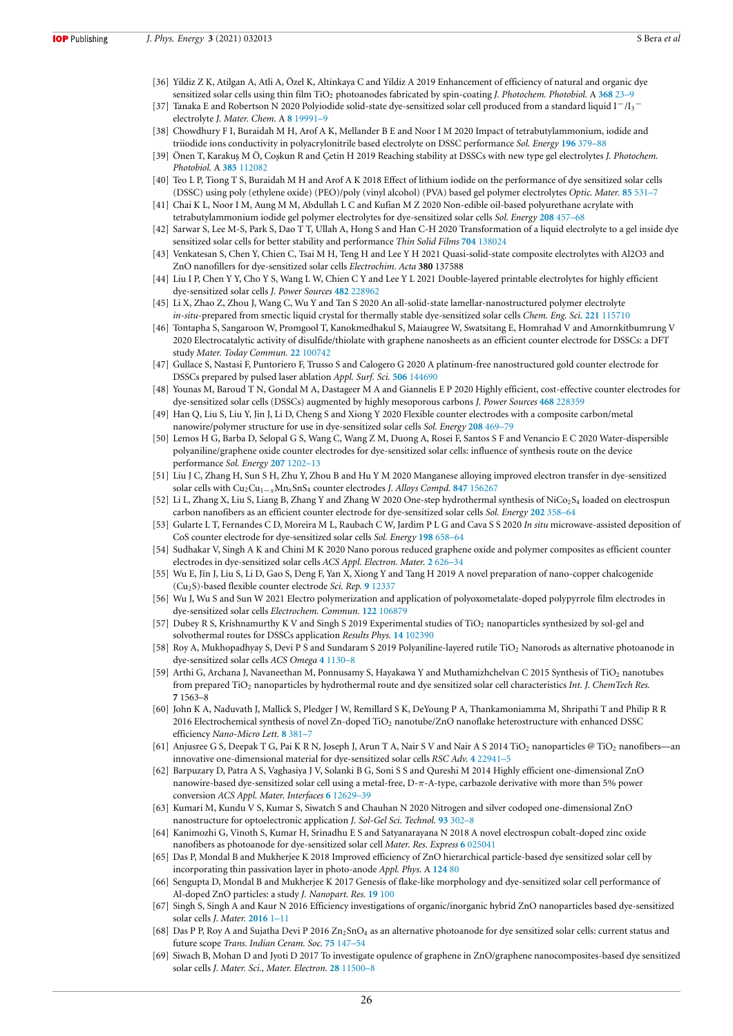- [36] Yildiz Z K, Atilgan A, Atli A, Özel K, Altinkaya C and Yildiz A 2019 Enhancement of efficiency of natural and organic dye sensitized solar cells using thin film TiO<sub>2</sub> photoanodes fabricated by spin-coating *J. Photochem. Photobiol.* A 368 23-9
- [37] Tanaka E and Robertson N 2020 Polyiodide solid-state dye-sensitized solar cell produced from a standard liquid I−/I<sup>3</sup> − electrolyte *J. Mater. Chem.* A **8** 19991–9
- [38] Chowdhury F I, Buraidah M H, Arof A K, Mellander B E and Noor I M 2020 Impact of tetrabutylammonium, iodide and triiodide ions conductivity in polyacrylonitrile based electrolyte on DSSC performance *Sol. Energy* **196** 379–88
- [39] Önen T, Karakuş M Ö, Coşkun R and Çetin H 2019 Reaching stability at DSSCs with new type gel electrolytes *J. Photochem. Photobiol.* A **385** 112082
- [40] Teo L P, Tiong T S, Buraidah M H and Arof A K 2018 Effect of lithium iodide on the performance of dye sensitized solar cells (DSSC) using poly (ethylene oxide) (PEO)/poly (vinyl alcohol) (PVA) based gel polymer electrolytes *Optic. Mater.* **85** 531–7
- [41] Chai K L, Noor I M, Aung M M, Abdullah L C and Kufian M Z 2020 Non-edible oil-based polyurethane acrylate with tetrabutylammonium iodide gel polymer electrolytes for dye-sensitized solar cells *Sol. Energy* **208** 457–68
- [42] Sarwar S, Lee M-S, Park S, Dao T T, Ullah A, Hong S and Han C-H 2020 Transformation of a liquid electrolyte to a gel inside dye sensitized solar cells for better stability and performance *Thin Solid Films* **704** 138024
- [43] Venkatesan S, Chen Y, Chien C, Tsai M H, Teng H and Lee Y H 2021 Quasi-solid-state composite electrolytes with Al2O3 and ZnO nanofillers for dye-sensitized solar cells *Electrochim. Acta* **380** 137588
- [44] Liu I P, Chen Y Y, Cho Y S, Wang L W, Chien C Y and Lee Y L 2021 Double-layered printable electrolytes for highly efficient dye-sensitized solar cells *J. Power Sources* **482** 228962
- [45] Li X, Zhao Z, Zhou J, Wang C, Wu Y and Tan S 2020 An all-solid-state lamellar-nanostructured polymer electrolyte *in-situ*-prepared from smectic liquid crystal for thermally stable dye-sensitized solar cells *Chem. Eng. Sci.* **221** 115710
- [46] Tontapha S, Sangaroon W, Promgool T, Kanokmedhakul S, Maiaugree W, Swatsitang E, Homrahad V and Amornkitbumrung V 2020 Electrocatalytic activity of disulfide/thiolate with graphene nanosheets as an efficient counter electrode for DSSCs: a DFT study *Mater. Today Commun.* **22** 100742
- [47] Gullace S, Nastasi F, Puntoriero F, Trusso S and Calogero G 2020 A platinum-free nanostructured gold counter electrode for DSSCs prepared by pulsed laser ablation *Appl. Surf. Sci.* **506** 144690
- [48] Younas M, Baroud T N, Gondal M A, Dastageer M A and Giannelis E P 2020 Highly efficient, cost-effective counter electrodes for dye-sensitized solar cells (DSSCs) augmented by highly mesoporous carbons *J. Power Sources* **468** 228359
- Han Q, Liu S, Liu Y, Jin J, Li D, Cheng S and Xiong Y 2020 Flexible counter electrodes with a composite carbon/metal nanowire/polymer structure for use in dye-sensitized solar cells *Sol. Energy* **208** 469–79
- [50] Lemos H G, Barba D, Selopal G S, Wang C, Wang Z M, Duong A, Rosei F, Santos S F and Venancio E C 2020 Water-dispersible polyaniline/graphene oxide counter electrodes for dye-sensitized solar cells: influence of synthesis route on the device performance *Sol. Energy* **207** 1202–13
- [51] Liu J C, Zhang H, Sun S H, Zhu Y, Zhou B and Hu Y M 2020 Manganese alloying improved electron transfer in dye-sensitized solar cells with Cu2Cu1−*x*Mn*x*SnS<sup>4</sup> counter electrodes *J. Alloys Compd.* **847** 156267
- [52] Li L, Zhang X, Liu S, Liang B, Zhang Y and Zhang W 2020 One-step hydrothermal synthesis of NiCo<sub>2</sub>S<sub>4</sub> loaded on electrospun carbon nanofibers as an efficient counter electrode for dye-sensitized solar cells *Sol. Energy* **202** 358–64
- [53] Gularte L T, Fernandes C D, Moreira M L, Raubach C W, Jardim P L G and Cava S S 2020 *In situ* microwave-assisted deposition of CoS counter electrode for dye-sensitized solar cells *Sol. Energy* **198** 658–64
- [54] Sudhakar V, Singh A K and Chini M K 2020 Nano porous reduced graphene oxide and polymer composites as efficient counter electrodes in dye-sensitized solar cells *ACS Appl. Electron. Mater.* **2** 626–34
- [55] Wu E, Jīn J, Liu S, Li D, Gao S, Deng F, Yan X, Xiong Y and Tang H 2019 A novel preparation of nano-copper chalcogenide (Cu2S)-based flexible counter electrode *Sci. Rep.* **9** 12337
- [56] Wu J, Wu S and Sun W 2021 Electro polymerization and application of polyoxometalate-doped polypyrrole film electrodes in dye-sensitized solar cells *Electrochem. Commun.* **122** 106879
- [57] Dubey R S, Krishnamurthy K V and Singh S 2019 Experimental studies of TiO<sub>2</sub> nanoparticles synthesized by sol-gel and solvothermal routes for DSSCs application *Results Phys.* **14** 102390
- [58] Roy A, Mukhopadhyay S, Devi P S and Sundaram S 2019 Polyaniline-layered rutile TiO<sub>2</sub> Nanorods as alternative photoanode in dye-sensitized solar cells *ACS Omega* **4** 1130–8
- [59] Arthi G, Archana J, Navaneethan M, Ponnusamy S, Hayakawa Y and Muthamizhchelvan C 2015 Synthesis of TiO<sub>2</sub> nanotubes from prepared TiO<sup>2</sup> nanoparticles by hydrothermal route and dye sensitized solar cell characteristics *Int. J. ChemTech Res.* **7** 1563–8
- [60] John K A, Naduvath J, Mallick S, Pledger J W, Remillard S K, DeYoung P A, Thankamoniamma M, Shripathi T and Philip R R 2016 Electrochemical synthesis of novel Zn-doped TiO<sup>2</sup> nanotube/ZnO nanoflake heterostructure with enhanced DSSC efficiency *Nano-Micro Lett.* **8** 381–7
- [61] Anjusree G S, Deepak T G, Pai K R N, Joseph J, Arun T A, Nair S V and Nair A S 2014 TiO<sub>2</sub> nanoparticles @ TiO<sub>2</sub> nanofibers—an innovative one-dimensional material for dye-sensitized solar cells *RSC Adv.* **4** 22941–5
- [62] Barpuzary D, Patra A S, Vaghasiya J V, Solanki B G, Soni S S and Qureshi M 2014 Highly efficient one-dimensional ZnO nanowire-based dye-sensitized solar cell using a metal-free, D-π-A-type, carbazole derivative with more than 5% power conversion *ACS Appl. Mater. Interfaces* **6** 12629–39
- [63] Kumari M, Kundu V S, Kumar S, Siwatch S and Chauhan N 2020 Nitrogen and silver codoped one-dimensional ZnO nanostructure for optoelectronic application *J. Sol-Gel Sci. Technol.* **93** 302–8
- [64] Kanimozhi G, Vinoth S, Kumar H, Srinadhu E S and Satyanarayana N 2018 A novel electrospun cobalt-doped zinc oxide nanofibers as photoanode for dye-sensitized solar cell *Mater. Res. Express* **6** 025041
- [65] Das P, Mondal B and Mukherjee K 2018 Improved efficiency of ZnO hierarchical particle-based dye sensitized solar cell by incorporating thin passivation layer in photo-anode *Appl. Phys.* A **124** 80
- [66] Sengupta D, Mondal B and Mukherjee K 2017 Genesis of flake-like morphology and dye-sensitized solar cell performance of Al-doped ZnO particles: a study *J. Nanopart. Res.* **19** 100
- [67] Singh S, Singh A and Kaur N 2016 Efficiency investigations of organic/inorganic hybrid ZnO nanoparticles based dye-sensitized solar cells *J. Mater.* **2016** 1–11
- [68] Das P P, Roy A and Sujatha Devi P 2016 Zn<sub>2</sub>SnO<sub>4</sub> as an alternative photoanode for dye sensitized solar cells: current status and future scope *Trans. Indian Ceram. Soc.* **75** 147–54
- [69] Siwach B, Mohan D and Jyoti D 2017 To investigate opulence of graphene in ZnO/graphene nanocomposites-based dye sensitized solar cells *J. Mater. Sci., Mater. Electron.* **28** 11500–8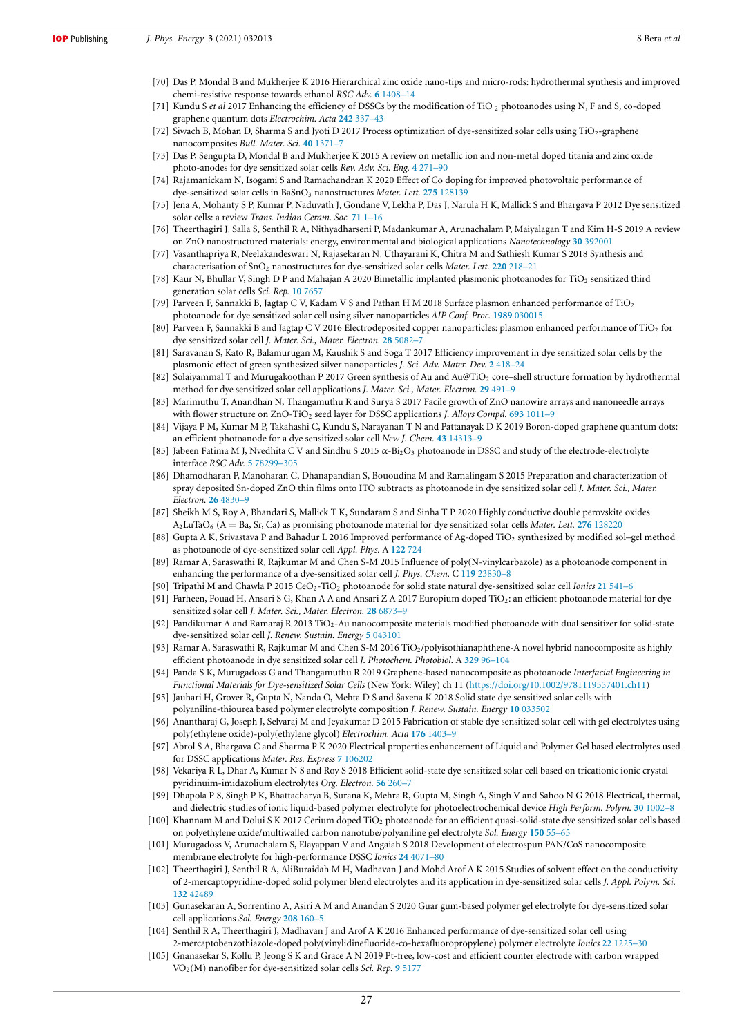- [70] Das P, Mondal B and Mukherjee K 2016 Hierarchical zinc oxide nano-tips and micro-rods: hydrothermal synthesis and improved chemi-resistive response towards ethanol *RSC Adv.* **6** 1408–14
- [71] Kundu S *et al* 2017 Enhancing the efficiency of DSSCs by the modification of TiO <sup>2</sup> photoanodes using N, F and S, co-doped graphene quantum dots *Electrochim. Acta* **242** 337–43
- Siwach B, Mohan D, Sharma S and Jyoti D 2017 Process optimization of dye-sensitized solar cells using TiO<sub>2</sub>-graphene nanocomposites *Bull. Mater. Sci.* **40** 1371–7
- [73] Das P, Sengupta D, Mondal B and Mukherjee K 2015 A review on metallic ion and non-metal doped titania and zinc oxide photo-anodes for dye sensitized solar cells *Rev. Adv. Sci. Eng.* **4** 271–90
- [74] Rajamanickam N, Isogami S and Ramachandran K 2020 Effect of Co doping for improved photovoltaic performance of dye-sensitized solar cells in BaSnO<sub>3</sub> nanostructures Mater. Lett. 275 128139
- [75] Jena A, Mohanty S P, Kumar P, Naduvath J, Gondane V, Lekha P, Das J, Narula H K, Mallick S and Bhargava P 2012 Dye sensitized solar cells: a review *Trans. Indian Ceram. Soc.* **71** 1–16
- [76] Theerthagiri J, Salla S, Senthil R A, Nithyadharseni P, Madankumar A, Arunachalam P, Maiyalagan T and Kim H-S 2019 A review on ZnO nanostructured materials: energy, environmental and biological applications *Nanotechnology* **30** 392001
- [77] Vasanthapriya R, Neelakandeswari N, Rajasekaran N, Uthayarani K, Chitra M and Sathiesh Kumar S 2018 Synthesis and characterisation of SnO<sup>2</sup> nanostructures for dye-sensitized solar cells *Mater. Lett.* **220** 218–21
- [78] Kaur N, Bhullar V, Singh D P and Mahajan A 2020 Bimetallic implanted plasmonic photoanodes for TiO<sup>2</sup> sensitized third generation solar cells *Sci. Rep.* **10** 7657
- [79] Parveen F, Sannakki B, Jagtap C V, Kadam V S and Pathan H M 2018 Surface plasmon enhanced performance of TiO<sup>2</sup> photoanode for dye sensitized solar cell using silver nanoparticles *AIP Conf. Proc.* **1989** 030015
- [80] Parveen F, Sannakki B and Jagtap C V 2016 Electrodeposited copper nanoparticles: plasmon enhanced performance of TiO<sup>2</sup> for dye sensitized solar cell *J. Mater. Sci., Mater. Electron.* **28** 5082–7
- [81] Saravanan S, Kato R, Balamurugan M, Kaushik S and Soga T 2017 Efficiency improvement in dye sensitized solar cells by the plasmonic effect of green synthesized silver nanoparticles *J. Sci. Adv. Mater. Dev.* **2** 418–24
- [82] Solaiyammal T and Murugakoothan P 2017 Green synthesis of Au and Au@TiO<sub>2</sub> core–shell structure formation by hydrothermal method for dye sensitized solar cell applications *J. Mater. Sci., Mater. Electron.* **29** 491–9
- [83] Marimuthu T, Anandhan N, Thangamuthu R and Surya S 2017 Facile growth of ZnO nanowire arrays and nanoneedle arrays with flower structure on ZnO-TiO<sub>2</sub> seed layer for DSSC applications *J. Alloys Compd.* 693 1011–9
- [84] Vijaya P M, Kumar M P, Takahashi C, Kundu S, Narayanan T N and Pattanayak D K 2019 Boron-doped graphene quantum dots: an efficient photoanode for a dye sensitized solar cell *New J. Chem.* **43** 14313–9
- [85] Jabeen Fatima M J, Nvedhita C V and Sindhu S 2015 α-Bi2O<sup>3</sup> photoanode in DSSC and study of the electrode-electrolyte interface *RSC Adv.* **5** 78299–305
- [86] Dhamodharan P, Manoharan C, Dhanapandian S, Bououdina M and Ramalingam S 2015 Preparation and characterization of spray deposited Sn-doped ZnO thin films onto ITO subtracts as photoanode in dye sensitized solar cell *J. Mater. Sci., Mater. Electron.* **26** 4830–9
- [87] Sheikh M S, Roy A, Bhandari S, Mallick T K, Sundaram S and Sinha T P 2020 Highly conductive double perovskite oxides  $A_2$ LuTaO<sub>6</sub> (A = Ba, Sr, Ca) as promising photoanode material for dye sensitized solar cells *Mater. Lett.* **276** 128220
- [88] Gupta A K, Srivastava P and Bahadur L 2016 Improved performance of Ag-doped TiO<sub>2</sub> synthesized by modified sol-gel method as photoanode of dye-sensitized solar cell *Appl. Phys.* A **122** 724
- [89] Ramar A, Saraswathi R, Rajkumar M and Chen S-M 2015 Influence of poly(N-vinylcarbazole) as a photoanode component in enhancing the performance of a dye-sensitized solar cell *J. Phys. Chem.* C **119** 23830–8
- [90] Tripathi M and Chawla P 2015 CeO2-TiO<sup>2</sup> photoanode for solid state natural dye-sensitized solar cell *Ionics* **21** 541–6
- [91] Farheen, Fouad H, Ansari S G, Khan A A and Ansari Z A 2017 Europium doped TiO2: an efficient photoanode material for dye sensitized solar cell *J. Mater. Sci., Mater. Electron.* **28** 6873–9
- [92] Pandikumar A and Ramaraj R 2013 TiO2-Au nanocomposite materials modified photoanode with dual sensitizer for solid-state dye-sensitized solar cell *J. Renew. Sustain. Energy* **5** 043101
- [93] Ramar A, Saraswathi R, Rajkumar M and Chen S-M 2016 TiO2/polyisothianaphthene-A novel hybrid nanocomposite as highly efficient photoanode in dye sensitized solar cell *J. Photochem. Photobiol.* A **329** 96–104
- [94] Panda S K, Murugadoss G and Thangamuthu R 2019 Graphene-based nanocomposite as photoanode *Interfacial Engineering in Functional Materials for Dye-sensitized Solar Cells* (New York: Wiley) ch 11 (https://doi.org/10.1002/9781119557401.ch11)
- [95] Jauhari H, Grover R, Gupta N, Nanda O, Mehta D S and Saxena K 2018 Solid state dye sensitized solar cells with polyaniline-thiourea based polymer electrolyte composition *J. Renew. Sustain. Energy* **10** 033502
- [96] Anantharaj G, Joseph J, Selvaraj M and Jeyakumar D 2015 Fabrication of stable dye sensitized solar cell with gel electrolytes using poly(ethylene oxide)-poly(ethylene glycol) *Electrochim. Acta* **176** 1403–9
- [97] Abrol S A, Bhargava C and Sharma P K 2020 Electrical properties enhancement of Liquid and Polymer Gel based electrolytes used for DSSC applications *Mater. Res. Express* **7** 106202
- [98] Vekariya R L, Dhar A, Kumar N S and Roy S 2018 Efficient solid-state dye sensitized solar cell based on tricationic ionic crystal pyridinuim-imidazolium electrolytes *Org. Electron.* **56** 260–7
- [99] Dhapola P S, Singh P K, Bhattacharya B, Surana K, Mehra R, Gupta M, Singh A, Singh V and Sahoo N G 2018 Electrical, thermal, and dielectric studies of ionic liquid-based polymer electrolyte for photoelectrochemical device *High Perform. Polym.* **30** 1002–8
- [100] Khannam M and Dolui S K 2017 Cerium doped TiO<sub>2</sub> photoanode for an efficient quasi-solid-state dye sensitized solar cells based on polyethylene oxide/multiwalled carbon nanotube/polyaniline gel electrolyte *Sol. Energy* **150** 55–65
- [101] Murugadoss V, Arunachalam S, Elayappan V and Angaiah S 2018 Development of electrospun PAN/CoS nanocomposite membrane electrolyte for high-performance DSSC *Ionics* **24** 4071–80
- [102] Theerthagiri J, Senthil R A, AliBuraidah M H, Madhavan J and Mohd Arof A K 2015 Studies of solvent effect on the conductivity of 2-mercaptopyridine-doped solid polymer blend electrolytes and its application in dye-sensitized solar cells *J. Appl. Polym. Sci.* **132** 42489
- [103] Gunasekaran A, Sorrentino A, Asiri A M and Anandan S 2020 Guar gum-based polymer gel electrolyte for dye-sensitized solar cell applications *Sol. Energy* **208** 160–5
- [104] Senthil R A, Theerthagiri J, Madhavan J and Arof A K 2016 Enhanced performance of dye-sensitized solar cell using 2-mercaptobenzothiazole-doped poly(vinylidinefluoride-co-hexafluoropropylene) polymer electrolyte *Ionics* **22** 1225–30
- [105] Gnanasekar S, Kollu P, Jeong S K and Grace A N 2019 Pt-free, low-cost and efficient counter electrode with carbon wrapped VO2(M) nanofiber for dye-sensitized solar cells *Sci. Rep.* **9** 5177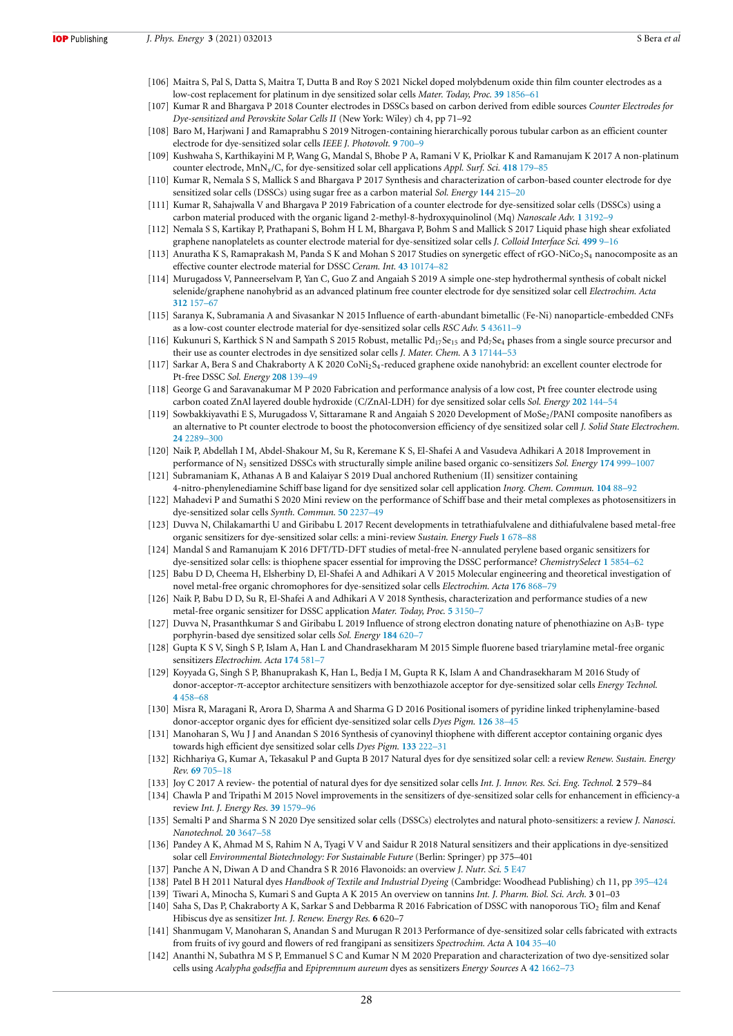- [106] Maitra S, Pal S, Datta S, Maitra T, Dutta B and Roy S 2021 Nickel doped molybdenum oxide thin film counter electrodes as a low-cost replacement for platinum in dye sensitized solar cells *Mater. Today, Proc.* **39** 1856–61
- [107] Kumar R and Bhargava P 2018 Counter electrodes in DSSCs based on carbon derived from edible sources *Counter Electrodes for Dye-sensitized and Perovskite Solar Cells II* (New York: Wiley) ch 4, pp 71–92
- [108] Baro M, Harjwani J and Ramaprabhu S 2019 Nitrogen-containing hierarchically porous tubular carbon as an efficient counter electrode for dye-sensitized solar cells *IEEE J. Photovolt.* **9** 700–9
- [109] Kushwaha S, Karthikayini M P, Wang G, Mandal S, Bhobe P A, Ramani V K, Priolkar K and Ramanujam K 2017 A non-platinum counter electrode, MnNx/C, for dye-sensitized solar cell applications *Appl. Surf. Sci.* **418** 179–85
- [110] Kumar R, Nemala S S, Mallick S and Bhargava P 2017 Synthesis and characterization of carbon-based counter electrode for dye sensitized solar cells (DSSCs) using sugar free as a carbon material *Sol. Energy* **144** 215–20
- [111] Kumar R, Sahajwalla V and Bhargava P 2019 Fabrication of a counter electrode for dye-sensitized solar cells (DSSCs) using a carbon material produced with the organic ligand 2-methyl-8-hydroxyquinolinol (Mq) *Nanoscale Adv.* **1** 3192–9
- [112] Nemala S S, Kartikay P, Prathapani S, Bohm H L M, Bhargava P, Bohm S and Mallick S 2017 Liquid phase high shear exfoliated graphene nanoplatelets as counter electrode material for dye-sensitized solar cells *J. Colloid Interface Sci.* **499** 9–16
- [113] Anuratha K S, Ramaprakash M, Panda S K and Mohan S 2017 Studies on synergetic effect of rGO-NiCo<sub>2</sub>S<sub>4</sub> nanocomposite as an effective counter electrode material for DSSC *Ceram. Int.* **43** 10174–82
- [114] Murugadoss V, Panneerselvam P, Yan C, Guo Z and Angaiah S 2019 A simple one-step hydrothermal synthesis of cobalt nickel selenide/graphene nanohybrid as an advanced platinum free counter electrode for dye sensitized solar cell *Electrochim. Acta* **312** 157–67
- [115] Saranya K, Subramania A and Sivasankar N 2015 Influence of earth-abundant bimetallic (Fe-Ni) nanoparticle-embedded CNFs as a low-cost counter electrode material for dye-sensitized solar cells *RSC Adv.* **5** 43611–9
- [116] Kukunuri S, Karthick S N and Sampath S 2015 Robust, metallic Pd<sub>17</sub>Se<sub>15</sub> and Pd7Se<sub>4</sub> phases from a single source precursor and their use as counter electrodes in dye sensitized solar cells *J. Mater. Chem.* A **3** 17144–53
- [117] Sarkar A, Bera S and Chakraborty A K 2020 CoNi2S4-reduced graphene oxide nanohybrid: an excellent counter electrode for Pt-free DSSC *Sol. Energy* **208** 139–49
- [118] George G and Saravanakumar M P 2020 Fabrication and performance analysis of a low cost, Pt free counter electrode using carbon coated ZnAl layered double hydroxide (C/ZnAl-LDH) for dye sensitized solar cells *Sol. Energy* **202** 144–54
- [119] Sowbakkiyavathi E S, Murugadoss V, Sittaramane R and Angaiah S 2020 Development of MoSe2/PANI composite nanofibers as an alternative to Pt counter electrode to boost the photoconversion efficiency of dye sensitized solar cell *J. Solid State Electrochem.* **24** 2289–300
- [120] Naik P, Abdellah I M, Abdel-Shakour M, Su R, Keremane K S, El-Shafei A and Vasudeva Adhikari A 2018 Improvement in performance of N<sup>3</sup> sensitized DSSCs with structurally simple aniline based organic co-sensitizers *Sol. Energy* **174** 999–1007
- [121] Subramaniam K, Athanas A B and Kalaiyar S 2019 Dual anchored Ruthenium (II) sensitizer containing 4-nitro-phenylenediamine Schiff base ligand for dye sensitized solar cell application *Inorg. Chem. Commun.* **104** 88–92
- [122] Mahadevi P and Sumathi S 2020 Mini review on the performance of Schiff base and their metal complexes as photosensitizers in dye-sensitized solar cells *Synth. Commun.* **50** 2237–49
- [123] Duvva N, Chilakamarthi U and Giribabu L 2017 Recent developments in tetrathiafulvalene and dithiafulvalene based metal-free organic sensitizers for dye-sensitized solar cells: a mini-review *Sustain. Energy Fuels* **1** 678–88
- [124] Mandal S and Ramanujam K 2016 DFT/TD-DFT studies of metal-free N-annulated perylene based organic sensitizers for dye-sensitized solar cells: is thiophene spacer essential for improving the DSSC performance? *ChemistrySelect* **1** 5854–62
- [125] Babu D D, Cheema H, Elsherbiny D, El-Shafei A and Adhikari A V 2015 Molecular engineering and theoretical investigation of novel metal-free organic chromophores for dye-sensitized solar cells *Electrochim. Acta* **176** 868–79
- [126] Naik P, Babu D D, Su R, El-Shafei A and Adhikari A V 2018 Synthesis, characterization and performance studies of a new metal-free organic sensitizer for DSSC application *Mater. Today, Proc.* **5** 3150–7
- [127] Duvva N, Prasanthkumar S and Giribabu L 2019 Influence of strong electron donating nature of phenothiazine on A3B- type porphyrin-based dye sensitized solar cells *Sol. Energy* **184** 620–7
- [128] Gupta K S V, Singh S P, Islam A, Han L and Chandrasekharam M 2015 Simple fluorene based triarylamine metal-free organic sensitizers *Electrochim. Acta* **174** 581–7
- [129] Koyyada G, Singh S P, Bhanuprakash K, Han L, Bedja I M, Gupta R K, Islam A and Chandrasekharam M 2016 Study of donor-acceptor-π-acceptor architecture sensitizers with benzothiazole acceptor for dye-sensitized solar cells *Energy Technol.* **4** 458–68
- [130] Misra R, Maragani R, Arora D, Sharma A and Sharma G D 2016 Positional isomers of pyridine linked triphenylamine-based donor-acceptor organic dyes for efficient dye-sensitized solar cells *Dyes Pigm.* **126** 38–45
- [131] Manoharan S, Wu J J and Anandan S 2016 Synthesis of cyanovinyl thiophene with different acceptor containing organic dyes towards high efficient dye sensitized solar cells *Dyes Pigm.* **133** 222–31
- [132] Richhariya G, Kumar A, Tekasakul P and Gupta B 2017 Natural dyes for dye sensitized solar cell: a review *Renew. Sustain. Energy Rev.* **69** 705–18
- [133] Joy C 2017 A review- the potential of natural dyes for dye sensitized solar cells *Int. J. Innov. Res. Sci. Eng. Technol.* **2** 579–84
- [134] Chawla P and Tripathi M 2015 Novel improvements in the sensitizers of dye-sensitized solar cells for enhancement in efficiency-a review *Int. J. Energy Res.* **39** 1579–96
- [135] Semalti P and Sharma S N 2020 Dye sensitized solar cells (DSSCs) electrolytes and natural photo-sensitizers: a review *J. Nanosci. Nanotechnol.* **20** 3647–58
- [136] Pandey A K, Ahmad M S, Rahim N A, Tyagi V V and Saidur R 2018 Natural sensitizers and their applications in dye-sensitized solar cell *Environmental Biotechnology: For Sustainable Future* (Berlin: Springer) pp 375–401
- [137] Panche A N, Diwan A D and Chandra S R 2016 Flavonoids: an overview *J. Nutr. Sci.* **5** E47
- [138] Patel B H 2011 Natural dyes *Handbook of Textile and Industrial Dyeing* (Cambridge: Woodhead Publishing) ch 11, pp 395–424
- [139] Tiwari A, Minocha S, Kumari S and Gupta A K 2015 An overview on tannins *Int. J. Pharm. Biol. Sci. Arch.* **3** 01–03
- [140] Saha S, Das P, Chakraborty A K, Sarkar S and Debbarma R 2016 Fabrication of DSSC with nanoporous TiO<sup>2</sup> film and Kenaf Hibiscus dye as sensitizer *Int. J. Renew. Energy Res.* **6** 620–7
- [141] Shanmugam V, Manoharan S, Anandan S and Murugan R 2013 Performance of dye-sensitized solar cells fabricated with extracts from fruits of ivy gourd and flowers of red frangipani as sensitizers *Spectrochim. Acta* A **104** 35–40
- [142] Ananthi N, Subathra M S P, Emmanuel S C and Kumar N M 2020 Preparation and characterization of two dye-sensitized solar cells using *Acalypha godseffia* and *Epipremnum aureum* dyes as sensitizers *Energy Sources* A **42** 1662–73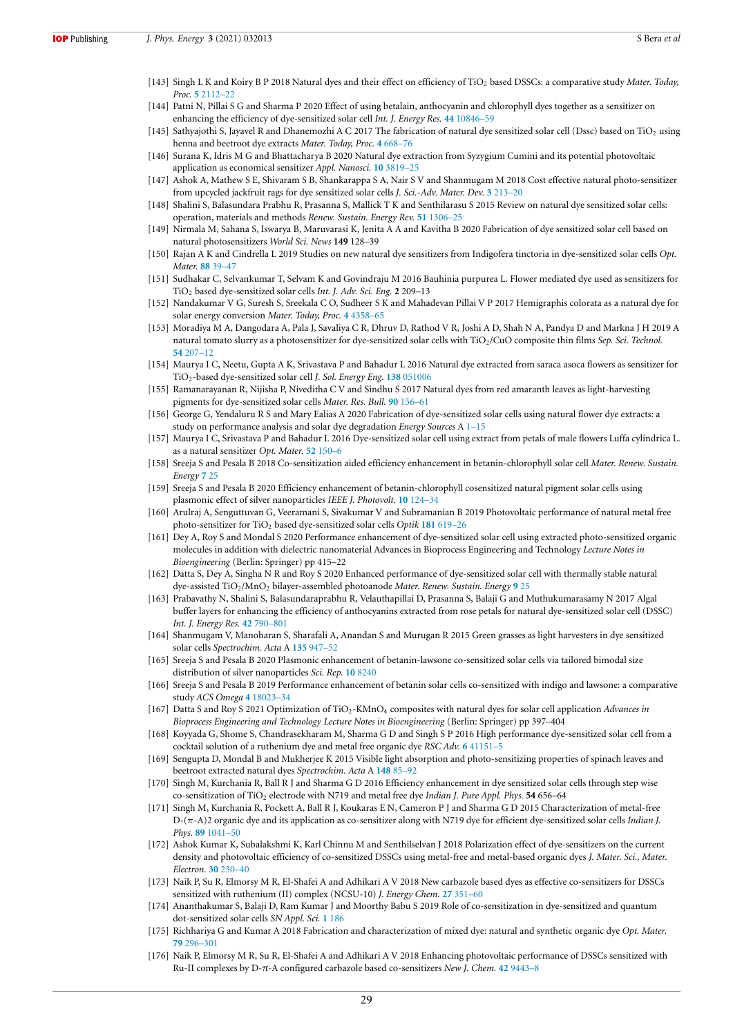- [143] Singh L K and Koiry B P 2018 Natural dyes and their effect on efficiency of TiO<sup>2</sup> based DSSCs: a comparative study *Mater. Today, Proc.* **5** 2112–22
- [144] Patni N, Pillai S G and Sharma P 2020 Effect of using betalain, anthocyanin and chlorophyll dyes together as a sensitizer on enhancing the efficiency of dye-sensitized solar cell *Int. J. Energy Res.* **44** 10846–59
- [145] Sathyajothi S, Jayavel R and Dhanemozhi A C 2017 The fabrication of natural dye sensitized solar cell (Dssc) based on TiO<sub>2</sub> using henna and beetroot dye extracts *Mater. Today, Proc.* **4** 668–76
- [146] Surana K, Idris M G and Bhattacharya B 2020 Natural dye extraction from Syzygium Cumini and its potential photovoltaic application as economical sensitizer *Appl. Nanosci.* **10** 3819–25
- [147] Ashok A, Mathew S E, Shivaram S B, Shankarappa S A, Nair S V and Shanmugam M 2018 Cost effective natural photo-sensitizer from upcycled jackfruit rags for dye sensitized solar cells *J. Sci.-Adv. Mater. Dev.* **3** 213–20
- [148] Shalini S, Balasundara Prabhu R, Prasanna S, Mallick T K and Senthilarasu S 2015 Review on natural dye sensitized solar cells: operation, materials and methods *Renew. Sustain. Energy Rev.* **51** 1306–25
- [149] Nirmala M, Sahana S, Iswarya B, Maruvarasi K, Jenita A A and Kavitha B 2020 Fabrication of dye sensitized solar cell based on natural photosensitizers *World Sci. News* **149** 128–39
- [150] Rajan A K and Cindrella L 2019 Studies on new natural dye sensitizers from Indigofera tinctoria in dye-sensitized solar cells *Opt. Mater.* **88** 39–47
- [151] Sudhakar C, Selvankumar T, Selvam K and Govindraju M 2016 Bauhinia purpurea L. Flower mediated dye used as sensitizers for TiO<sup>2</sup> based dye-sensitized solar cells *Int. J. Adv. Sci. Eng.* **2** 209–13
- [152] Nandakumar V G, Suresh S, Sreekala C O, Sudheer S K and Mahadevan Pillai V P 2017 Hemigraphis colorata as a natural dye for solar energy conversion *Mater. Today, Proc.* **4** 4358–65
- [153] Moradiya M A, Dangodara A, Pala J, Savaliya C R, Dhruv D, Rathod V R, Joshi A D, Shah N A, Pandya D and Markna J H 2019 A natural tomato slurry as a photosensitizer for dye-sensitized solar cells with TiO2/CuO composite thin films *Sep. Sci. Technol.* **54** 207–12
- [154] Maurya I C, Neetu, Gupta A K, Srivastava P and Bahadur L 2016 Natural dye extracted from saraca asoca flowers as sensitizer for TiO2-based dye-sensitized solar cell *J. Sol. Energy Eng.* **138** 051006
- [155] Ramanarayanan R, Nijisha P, Niveditha C V and Sindhu S 2017 Natural dyes from red amaranth leaves as light-harvesting pigments for dye-sensitized solar cells *Mater. Res. Bull.* **90** 156–61
- [156] George G, Yendaluru R S and Mary Ealias A 2020 Fabrication of dye-sensitized solar cells using natural flower dye extracts: a study on performance analysis and solar dye degradation *Energy Sources* A 1–15
- [157] Maurya I C, Srivastava P and Bahadur L 2016 Dye-sensitized solar cell using extract from petals of male flowers Luffa cylindrica L. as a natural sensitizer *Opt. Mater.* **52** 150–6
- [158] Sreeja S and Pesala B 2018 Co-sensitization aided efficiency enhancement in betanin-chlorophyll solar cell *Mater. Renew. Sustain. Energy* **7** 25
- [159] Sreeja S and Pesala B 2020 Efficiency enhancement of betanin-chlorophyll cosensitized natural pigment solar cells using plasmonic effect of silver nanoparticles *IEEE J. Photovolt.* **10** 124–34
- [160] Arulraj A, Senguttuvan G, Veeramani S, Sivakumar V and Subramanian B 2019 Photovoltaic performance of natural metal free photo-sensitizer for TiO<sup>2</sup> based dye-sensitized solar cells *Optik* **181** 619–26
- [161] Dey A, Roy S and Mondal S 2020 Performance enhancement of dye-sensitized solar cell using extracted photo-sensitized organic molecules in addition with dielectric nanomaterial Advances in Bioprocess Engineering and Technology *Lecture Notes in Bioengineering* (Berlin: Springer) pp 415–22
- [162] Datta S, Dey A, Singha N R and Roy S 2020 Enhanced performance of dye-sensitized solar cell with thermally stable natural dye-assisted TiO2/MnO<sup>2</sup> bilayer-assembled photoanode *Mater. Renew. Sustain. Energy* **9** 25
- [163] Prabavathy N, Shalini S, Balasundaraprabhu R, Velauthapillai D, Prasanna S, Balaji G and Muthukumarasamy N 2017 Algal buffer layers for enhancing the efficiency of anthocyanins extracted from rose petals for natural dye-sensitized solar cell (DSSC) *Int. J. Energy Res.* **42** 790–801
- [164] Shanmugam V, Manoharan S, Sharafali A, Anandan S and Murugan R 2015 Green grasses as light harvesters in dye sensitized solar cells *Spectrochim. Acta* A **135** 947–52
- [165] Sreeja S and Pesala B 2020 Plasmonic enhancement of betanin-lawsone co-sensitized solar cells via tailored bimodal size distribution of silver nanoparticles *Sci. Rep.* **10** 8240
- [166] Sreeja S and Pesala B 2019 Performance enhancement of betanin solar cells co-sensitized with indigo and lawsone: a comparative study *ACS Omega* **4** 18023–34
- [167] Datta S and Roy S 2021 Optimization of TiO<sub>2</sub>-KMnO<sub>4</sub> composites with natural dyes for solar cell application *Advances in Bioprocess Engineering and Technology Lecture Notes in Bioengineering* (Berlin: Springer) pp 397–404
- [168] Koyyada G, Shome S, Chandrasekharam M, Sharma G D and Singh S P 2016 High performance dye-sensitized solar cell from a cocktail solution of a ruthenium dye and metal free organic dye *RSC Adv.* **6** 41151–5
- [169] Sengupta D, Mondal B and Mukherjee K 2015 Visible light absorption and photo-sensitizing properties of spinach leaves and beetroot extracted natural dyes *Spectrochim. Acta* A **148** 85–92
- [170] Singh M, Kurchania R, Ball R J and Sharma G D 2016 Efficiency enhancement in dye sensitized solar cells through step wise co-sensitization of TiO<sup>2</sup> electrode with N719 and metal free dye *Indian J. Pure Appl. Phys.* **54** 656–64
- [171] Singh M, Kurchania R, Pockett A, Ball R J, Koukaras E N, Cameron P J and Sharma G D 2015 Characterization of metal-free D-(π-A)2 organic dye and its application as co-sensitizer along with N719 dye for efficient dye-sensitized solar cells *Indian J. Phys.* **89** 1041–50
- [172] Ashok Kumar K, Subalakshmi K, Karl Chinnu M and Senthilselvan J 2018 Polarization effect of dye-sensitizers on the current density and photovoltaic efficiency of co-sensitized DSSCs using metal-free and metal-based organic dyes *J. Mater. Sci., Mater. Electron.* **30** 230–40
- [173] Naik P, Su R, Elmorsy M R, El-Shafei A and Adhikari A V 2018 New carbazole based dyes as effective co-sensitizers for DSSCs sensitized with ruthenium (II) complex (NCSU-10) *J. Energy Chem.* **27** 351–60
- [174] Ananthakumar S, Balaji D, Ram Kumar J and Moorthy Babu S 2019 Role of co-sensitization in dye-sensitized and quantum dot-sensitized solar cells *SN Appl. Sci.* **1** 186
- [175] Richhariya G and Kumar A 2018 Fabrication and characterization of mixed dye: natural and synthetic organic dye *Opt. Mater.* **79** 296–301
- [176] Naik P, Elmorsy M R, Su R, El-Shafei A and Adhikari A V 2018 Enhancing photovoltaic performance of DSSCs sensitized with Ru-II complexes by D-π-A configured carbazole based co-sensitizers *New J. Chem.* **42** 9443–8